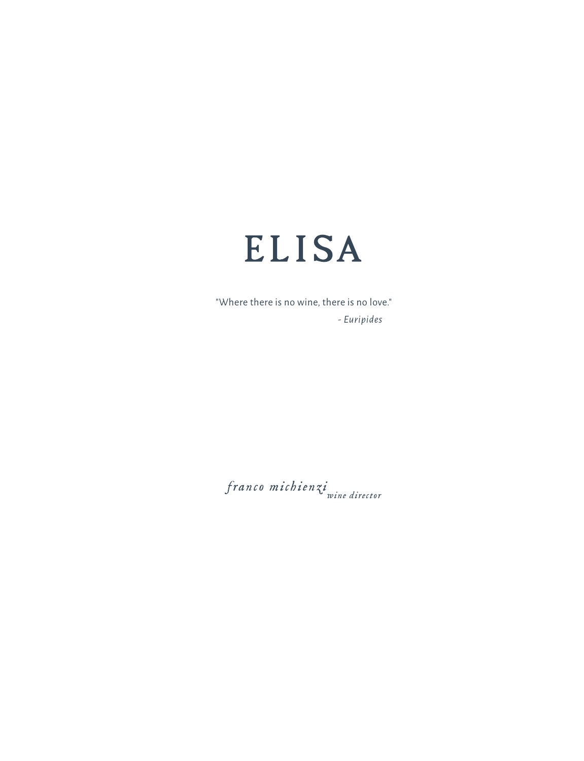

"Where there is no wine, there is no love." *- Euripides*

*franco michienziwine director*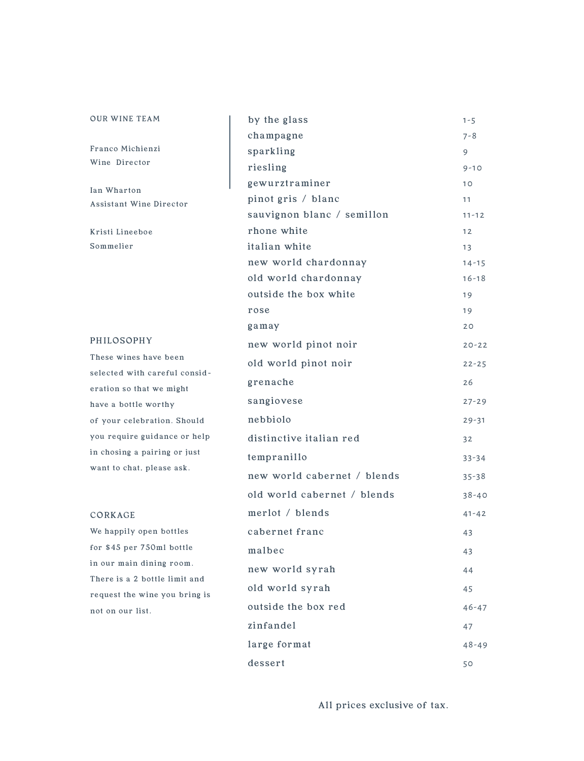| <b>OUR WINE TEAM</b>                             | by the glass                | $1 - 5$   |
|--------------------------------------------------|-----------------------------|-----------|
|                                                  | champagne                   | 7-8       |
| Franco Michienzi                                 | sparkling                   | 9         |
| Wine Director                                    | riesling                    | $9 - 10$  |
| Ian Wharton                                      | gewurztraminer              | 10        |
| Assistant Wine Director                          | pinot gris / blanc          | 11        |
|                                                  | sauvignon blanc / semillon  | $11 - 12$ |
| Kristi Lineeboe                                  | rhone white                 | 12        |
| Sommelier                                        | italian white               | 13        |
|                                                  | new world chardonnay        | $14 - 15$ |
|                                                  | old world chardonnay        | $16 - 18$ |
|                                                  | outside the box white       | 19        |
|                                                  | rose                        | 19        |
|                                                  | gamay                       | 20        |
| PHILOSOPHY                                       | new world pinot noir        | $20 - 22$ |
| These wines have been                            | old world pinot noir        | $22 - 25$ |
| selected with careful consid-                    | grenache                    | 26        |
| eration so that we might<br>have a bottle worthy | sangiovese                  | $27 - 29$ |
| of your celebration. Should                      | nebbiolo                    | $29 - 31$ |
| you require guidance or help                     | distinctive italian red     | 32        |
| in chosing a pairing or just                     | tempranillo                 | $33 - 34$ |
| want to chat, please ask.                        | new world cabernet / blends | $35 - 38$ |
|                                                  | old world cabernet / blends | $38 - 40$ |
| CORKAGE                                          | merlot / blends             | $41 - 42$ |
| We happily open bottles                          | cabernet franc              | 43        |
| for \$45 per 750ml bottle                        | malbec                      | 43        |
| in our main dining room.                         |                             |           |
| There is a 2 bottle limit and                    | new world syrah             | 44        |
| request the wine you bring is                    | old world syrah             | 45        |
| not on our list.                                 | outside the box red         | $46 - 47$ |
|                                                  | zinfandel                   | 47        |
|                                                  | large format                | $48 - 49$ |
|                                                  | desert                      | 50        |

All prices exclusive of tax.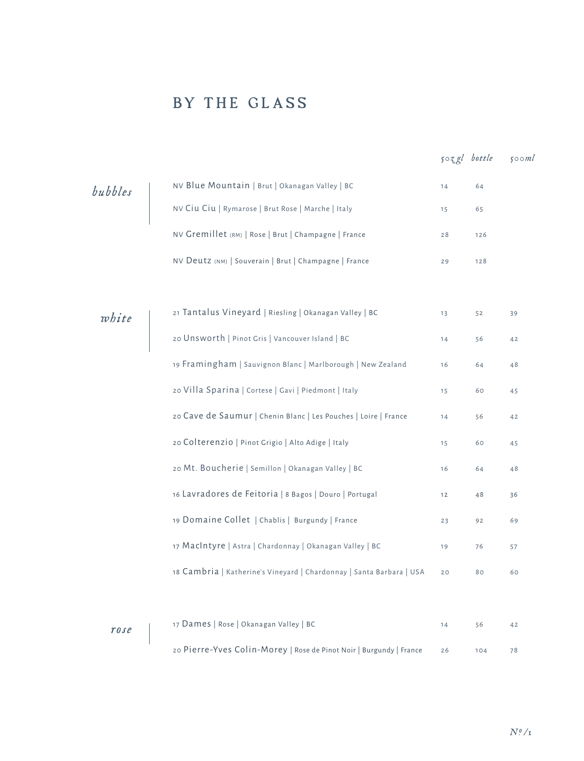## BY THE GLASS

|         |                                                                      | $50zgl$ bottle |     | 500ml |
|---------|----------------------------------------------------------------------|----------------|-----|-------|
| bubbles | NV Blue Mountain   Brut   Okanagan Valley   BC                       | 14             | 64  |       |
|         | NV Ciu Ciu   Rymarose   Brut Rose   Marche   Italy                   | 15             | 65  |       |
|         | NV Gremillet (RM)   Rose   Brut   Champagne   France                 | 28             | 126 |       |
|         | NV Deutz (NM)   Souverain   Brut   Champagne   France                | 29             | 128 |       |
|         |                                                                      |                |     |       |
| white   | 21 Tantalus Vineyard   Riesling   Okanagan Valley   BC               | 13             | 52  | 39    |
|         | 20 Unsworth   Pinot Gris   Vancouver Island   BC                     | 14             | 56  | 42    |
|         | 19 Framingham   Sauvignon Blanc   Marlborough   New Zealand          | 16             | 64  | 48    |
|         | 20 Villa Sparina   Cortese   Gavi   Piedmont   Italy                 | 15             | 60  | 45    |
|         | 20 Cave de Saumur   Chenin Blanc   Les Pouches   Loire   France      | 14             | 56  | 42    |
|         | 20 Colterenzio   Pinot Grigio   Alto Adige   Italy                   | 15             | 60  | 45    |
|         | 20 Mt. Boucherie   Semillon   Okanagan Valley   BC                   | 16             | 64  | 48    |
|         | 16 Lavradores de Feitoria   8 Bagos   Douro   Portugal               | 12             | 48  | 36    |
|         | 19 Domaine Collet   Chablis   Burgundy   France                      | 23             | 92  | 69    |
|         | 17 MacIntyre   Astra   Chardonnay   Okanagan Valley   BC             | 19             | 76  | 57    |
|         | 18 Cambria   Katherine's Vineyard   Chardonnay   Santa Barbara   USA | 20             | 80  | 60    |
|         |                                                                      |                |     |       |
| rose    | 17 Dames   Rose   Okanagan Valley   BC                               | 14             | 56  | 42    |
|         | 20 Pierre-Yves Colin-Morey   Rose de Pinot Noir   Burgundy   France  | 26             | 104 | 78    |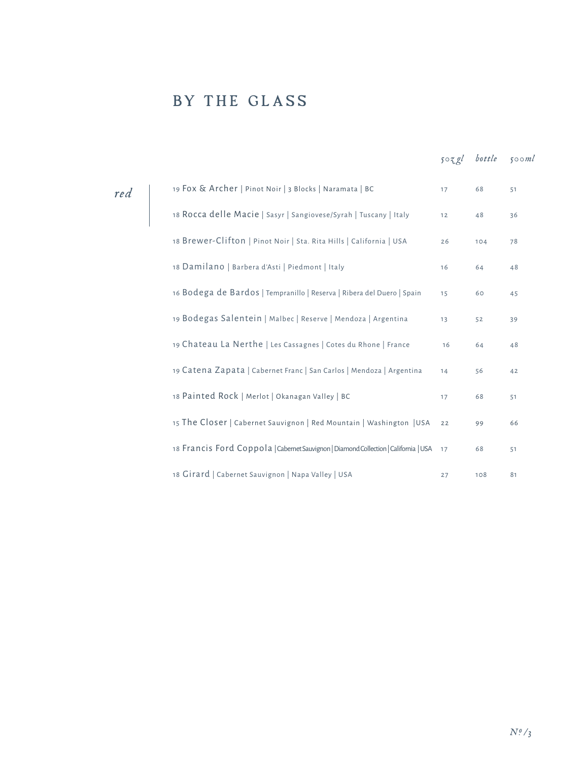## BY THE GLASS

|     |                                                                                         |          | 503gl bottle 500ml |    |
|-----|-----------------------------------------------------------------------------------------|----------|--------------------|----|
| red | 19 Fox & Archer   Pinot Noir   3 Blocks   Naramata   BC                                 | $17^{1}$ | 68                 | 51 |
|     | 18 Rocca delle Macie   Sasyr   Sangiovese/Syrah   Tuscany   Italy                       | 12       | 48                 | 36 |
|     | 18 Brewer-Clifton   Pinot Noir   Sta. Rita Hills   California   USA                     | 26       | 104                | 78 |
|     | 18 Damilano   Barbera d'Asti   Piedmont   Italy                                         | 16       | 64                 | 48 |
|     | 16 Bodega de Bardos   Tempranillo   Reserva   Ribera del Duero   Spain                  | 15       | 60                 | 45 |
|     | 19 Bodegas Salentein   Malbec   Reserve   Mendoza   Argentina                           | 13       | 52                 | 39 |
|     | 19 Chateau La Nerthe   Les Cassagnes   Cotes du Rhone   France                          | 16       | 64                 | 48 |
|     | 19 Catena Zapata   Cabernet Franc   San Carlos   Mendoza   Argentina                    | 14       | 56                 | 42 |
|     | 18 Painted Rock   Merlot   Okanagan Valley   BC                                         | 17       | 68                 | 51 |
|     | 15 The Closer   Cabernet Sauvignon   Red Mountain   Washington   USA                    | 22       | 99                 | 66 |
|     | 18 Francis Ford Coppola   Cabernet Sauvignon   Diamond Collection   California   USA 17 |          | 68                 | 51 |
|     | 18 Girard   Cabernet Sauvignon   Napa Valley   USA                                      | 27       | 108                | 81 |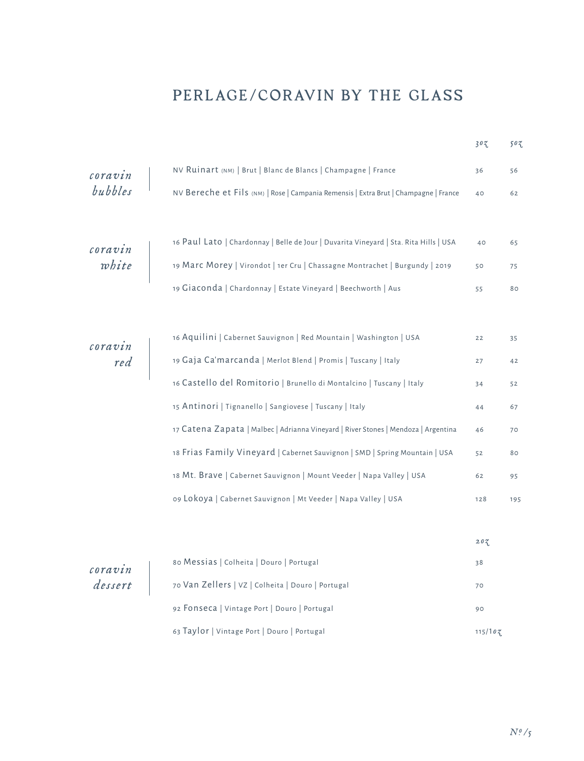## PERLAGE/CORAVIN BY THE GLASS

|                                                                   |                                                                                       | 302     | 503. |
|-------------------------------------------------------------------|---------------------------------------------------------------------------------------|---------|------|
|                                                                   | NV Ruinart (NM)   Brut   Blanc de Blancs   Champagne   France                         | 36      | 56   |
| coravin<br>bubbles                                                | NV Bereche et Fils (NM)   Rose   Campania Remensis   Extra Brut   Champagne   France  | 40      | 62   |
|                                                                   |                                                                                       |         |      |
|                                                                   | 16 Paul Lato   Chardonnay   Belle de Jour   Duvarita Vineyard   Sta. Rita Hills   USA | 40      | 65   |
| $\begin{array}{c} \textit{coravin} \\ \textit{white} \end{array}$ | 19 Marc Morey   Virondot   1er Cru   Chassagne Montrachet   Burgundy   2019           | 50      | 75   |
|                                                                   | 19 Giaconda   Chardonnay   Estate Vineyard   Beechworth   Aus                         | 55      | 80   |
|                                                                   |                                                                                       |         |      |
|                                                                   | 16 Aquilini   Cabernet Sauvignon   Red Mountain   Washington   USA                    | 22      | 35   |
|                                                                   | <b>coravin</b><br>red 19 Gaja Ca'marcanda   Merlot Blend   Promis   Tuscany   Italy   | 27      | 42   |
|                                                                   | 16 Castello del Romitorio   Brunello di Montalcino   Tuscany   Italy                  | 34      | 52   |
|                                                                   | 15 Antinori   Tignanello   Sangiovese   Tuscany   Italy                               | 44      | 67   |
|                                                                   | 17 Catena Zapata   Malbec   Adrianna Vineyard   River Stones   Mendoza   Argentina    | 46      | 70   |
|                                                                   | 18 Frias Family Vineyard   Cabernet Sauvignon   SMD   Spring Mountain   USA           | 52      | 80   |
|                                                                   | 18 Mt. Brave   Cabernet Sauvignon   Mount Veeder   Napa Valley   USA                  | 62      | 95   |
|                                                                   | 09 Lokoya   Cabernet Sauvignon   Mt Veeder   Napa Valley   USA                        | 128     | 195  |
|                                                                   |                                                                                       |         |      |
|                                                                   |                                                                                       | 203     |      |
| coravin<br>dessert                                                | 80 Messias   Colheita   Douro   Portugal                                              | 38      |      |
|                                                                   | 70 Van Zellers   VZ   Colheita   Douro   Portugal                                     | 70      |      |
|                                                                   | 92 FONSeca   Vintage Port   Douro   Portugal                                          | 90      |      |
|                                                                   | 63 Taylor   Vintage Port   Douro   Portugal                                           | 115/107 |      |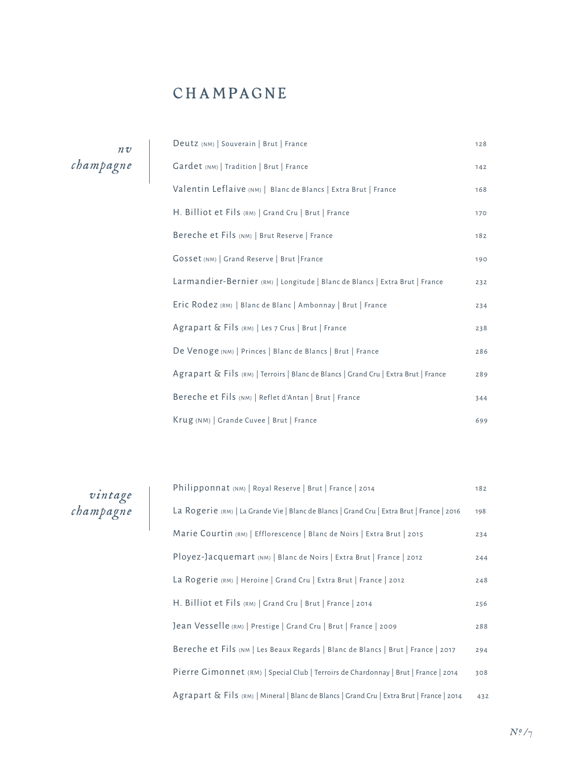## CHAMPAGNE

*nv champagne*

| Deutz (NM)   Souverain   Brut   France                                              | 128 |
|-------------------------------------------------------------------------------------|-----|
| Gardet (NM)   Tradition   Brut   France                                             | 142 |
| Valentin Leflaive (NM)   Blanc de Blancs   Extra Brut   France                      | 168 |
| H. Billiot et Fils (RM)   Grand Cru   Brut   France                                 | 170 |
| Bereche et Fils (NM)   Brut Reserve   France                                        | 182 |
| Gosset (NM)   Grand Reserve   Brut   France                                         | 190 |
| Larmandier-Bernier (RM)   Longitude   Blanc de Blancs   Extra Brut   France         | 232 |
| Eric Rodez (RM)   Blanc de Blanc   Ambonnay   Brut   France                         | 234 |
| Agrapart & Fils (RM)   Les 7 Crus   Brut   France                                   | 238 |
| De Venoge (NM)   Princes   Blanc de Blancs   Brut   France                          | 286 |
| Agrapart & Fils (RM)   Terroirs   Blanc de Blancs   Grand Cru   Extra Brut   France | 289 |
| Bereche et Fils (NM)   Reflet d'Antan   Brut   France                               | 344 |
| Krug (NM)   Grande Cuvee   Brut   France                                            | 699 |

| vintage   |
|-----------|
| champagne |

| Philipponnat (NM)   Royal Reserve   Brut   France   2014                                   | 182 |
|--------------------------------------------------------------------------------------------|-----|
| La Rogerie (RM)   La Grande Vie   Blanc de Blancs   Grand Cru   Extra Brut   France   2016 | 198 |
| Marie Courtin (RM)   Efflorescence   Blanc de Noirs   Extra Brut   2015                    | 234 |
| Ployez-Jacquemart (NM)   Blanc de Noirs   Extra Brut   France   2012                       | 244 |
| La Rogerie (RM)   Heroine   Grand Cru   Extra Brut   France   2012                         | 248 |
| H. Billiot et Fils (RM)   Grand Cru   Brut   France   2014                                 | 256 |
| Jean Vesselle (RM)   Prestige   Grand Cru   Brut   France   2009                           | 288 |
| Bereche et Fils (NM   Les Beaux Regards   Blanc de Blancs   Brut   France   2017           | 294 |
| Pierre Gimonnet (RM)   Special Club   Terroirs de Chardonnay   Brut   France   2014        | 308 |
| Agrapart & Fils (RM)   Mineral   Blanc de Blancs   Grand Cru   Extra Brut   France   2014  | 432 |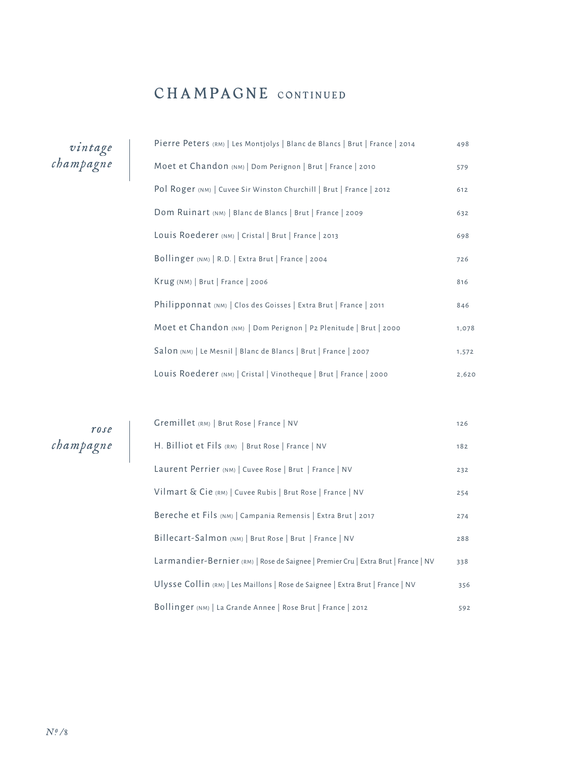## CHAMPAGNE CONTINUED

*vintage champagne*

| Pierre Peters (RM)   Les Montjolys   Blanc de Blancs   Brut   France   2014 | 498   |
|-----------------------------------------------------------------------------|-------|
| Moet et Chandon (NM)   Dom Perignon   Brut   France   2010                  | 579   |
| Pol Roger (NM)   Cuvee Sir Winston Churchill   Brut   France   2012         | 612   |
| Dom Ruinart (NM)   Blanc de Blancs   Brut   France   2009                   | 632   |
| Louis Roederer (NM)   Cristal   Brut   France   2013                        | 698   |
| Bollinger (NM)   R.D.   Extra Brut   France   2004                          | 726   |
| Krug (NM)   Brut   France   2006                                            | 816   |
| Philipponnat (NM)   Clos des Goisses   Extra Brut   France   2011           | 846   |
| Moet et Chandon (NM)   Dom Perignon   P2 Plenitude   Brut   2000            | 1,078 |
| Salon (NM)   Le Mesnil   Blanc de Blancs   Brut   France   2007             | 1,572 |
| Louis Roederer (NM)   Cristal   Vinotheque   Brut   France   2000           | 2,620 |

*rose champagne*

| Gremillet (RM)   Brut Rose   France   NV                                           | 126 |
|------------------------------------------------------------------------------------|-----|
| H. Billiot et Fils (RM)   Brut Rose   France   NV                                  | 182 |
| Laurent Perrier (NM)   Cuvee Rose   Brut   France   NV                             | 232 |
| Vilmart & Cie (RM)   Cuvee Rubis   Brut Rose   France   NV                         | 254 |
| Bereche et Fils (NM)   Campania Remensis   Extra Brut   2017                       | 274 |
| Billecart-Salmon (NM)   Brut Rose   Brut   France   NV                             | 288 |
| Larmandier-Bernier (RM)   Rose de Saignee   Premier Cru   Extra Brut   France   NV | 338 |
| Ulysse Collin (RM)   Les Maillons   Rose de Saignee   Extra Brut   France   NV     | 356 |
| Bollinger (NM)   La Grande Annee   Rose Brut   France   2012                       | 592 |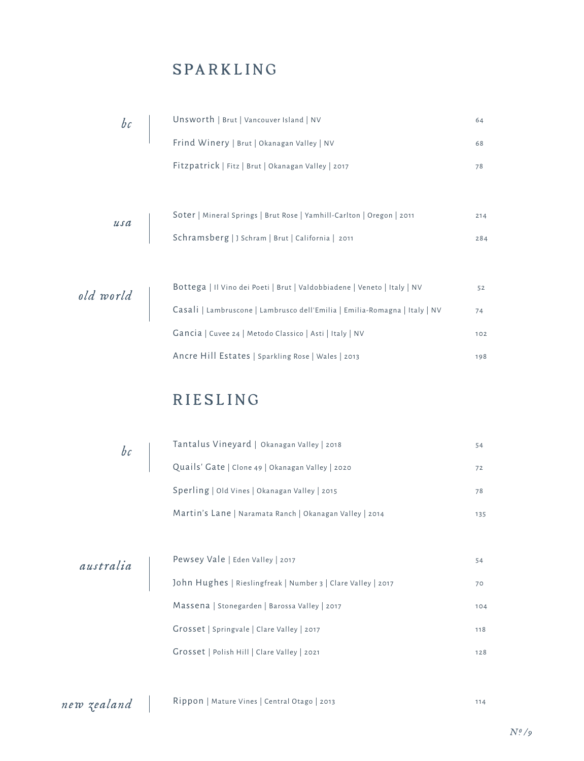#### SPARKLING

| bc | Unsworth   Brut   Vancouver Island   NV<br>                                                                                                                                                                                                                                                                                                                                                                                              | 64  |
|----|------------------------------------------------------------------------------------------------------------------------------------------------------------------------------------------------------------------------------------------------------------------------------------------------------------------------------------------------------------------------------------------------------------------------------------------|-----|
|    | Frind Winery   Brut   Okanagan Valley   NV                                                                                                                                                                                                                                                                                                                                                                                               | 68  |
|    | Fitzpatrick   Fitz   Brut   Okanagan Valley   2017                                                                                                                                                                                                                                                                                                                                                                                       | 78  |
|    |                                                                                                                                                                                                                                                                                                                                                                                                                                          |     |
|    | Soter   Mineral Springs   Brut Rose   Yamhill-Carlton   Oregon   2011                                                                                                                                                                                                                                                                                                                                                                    | 214 |
|    |                                                                                                                                                                                                                                                                                                                                                                                                                                          | 284 |
|    |                                                                                                                                                                                                                                                                                                                                                                                                                                          |     |
|    | Bottega   Il Vino dei Poeti   Brut   Valdobbiadene   Veneto   Italy   NV                                                                                                                                                                                                                                                                                                                                                                 | 52  |
|    | $\left\{ \begin{array}{r} \text{b} \text{or} \text{c} \text{or} \text{c} \text{or} \text{c} \text{or} \text{c} \text{or} \text{c} \text{or} \text{c} \text{or} \text{c} \text{or} \text{c} \text{or} \text{c} \text{or} \text{c} \text{or} \text{c} \text{or} \text{c} \text{or} \text{c} \text{or} \text{c} \text{or} \text{c} \text{or} \text{c} \text{or} \text{c} \text{or} \text{c} \text{or} \text{c} \text{or} \text{c} \text{or$ | 74  |
|    | Gancia   Cuvee 24   Metodo Classico   Asti   Italy   NV                                                                                                                                                                                                                                                                                                                                                                                  | 102 |
|    | Ancre Hill Estates   Sparkling Rose   Wales   2013                                                                                                                                                                                                                                                                                                                                                                                       | 198 |

## RIESLING

| $\begin{vmatrix} b & b \\ c & d \end{vmatrix}$ | Tantalus Vineyard   Okanagan Valley   2018                   | 54  |
|------------------------------------------------|--------------------------------------------------------------|-----|
|                                                | Quails' Gate   Clone 49   Okanagan Valley   2020             | 72  |
|                                                | Sperling   Old Vines   Okanagan Valley   2015                | 78  |
|                                                | Martin's Lane   Naramata Ranch   Okanagan Valley   2014      | 135 |
|                                                |                                                              |     |
| australia                                      | Pewsey Vale   Eden Valley   2017                             | 54  |
|                                                | John Hughes   Rieslingfreak   Number 3   Clare Valley   2017 | 70  |
|                                                | Massena   Stonegarden   Barossa Valley   2017                | 104 |
|                                                | Grosset   Springvale   Clare Valley   2017                   | 118 |
|                                                | Grosset   Polish Hill   Clare Valley   2021                  | 128 |
|                                                |                                                              |     |

*new zealand* Rippon | Mature Vines | Central Otago | 2013 114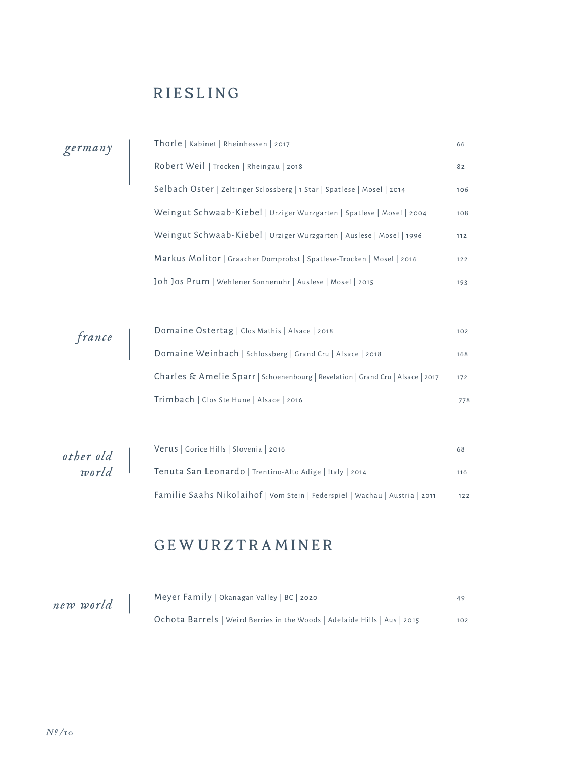## RIESLING

| germany |  |
|---------|--|
|         |  |

| Thorle   Kabinet   Rheinhessen   2017                                   | 66    |
|-------------------------------------------------------------------------|-------|
| Robert Weil   Trocken   Rheingau   2018                                 | 82    |
| Selbach Oster   Zeltinger Sclossberg   1 Star   Spatlese   Mosel   2014 | 106   |
| Weingut Schwaab-Kiebel   Urziger Wurzgarten   Spatlese   Mosel   2004   | 108   |
| Weingut Schwaab-Kiebel   Urziger Wurzgarten   Auslese   Mosel   1996    | 112   |
| Markus Molitor   Graacher Domprobst   Spatlese-Trocken   Mosel   2016   | $122$ |
| Joh Jos Prum   Wehlener Sonnenuhr   Auslese   Mosel   2015              | 193   |

| france | Domaine Ostertag   Clos Mathis   Alsace   2018                                  | 102 |
|--------|---------------------------------------------------------------------------------|-----|
|        | Domaine Weinbach   Schlossberg   Grand Cru   Alsace   2018                      | 168 |
|        | Charles & Amelie Sparr   Schoenenbourg   Revelation   Grand Cru   Alsace   2017 | 172 |
|        | Trimbach   Clos Ste Hune   Alsace   2016                                        | 778 |

| other old | Verus   Gorice Hills   Slovenia   2016                                      | 68    |
|-----------|-----------------------------------------------------------------------------|-------|
| world     | Tenuta San Leonardo   Trentino-Alto Adige   Italy   2014                    | 116   |
|           | Familie Saahs Nikolaihof   Vom Stein   Federspiel   Wachau   Austria   2011 | $122$ |

## GEWURZTRAMINER

| new world | Meyer Family   Okanagan Valley   BC   2020                                | 49  |
|-----------|---------------------------------------------------------------------------|-----|
|           | Ochota Barrels   Weird Berries in the Woods   Adelaide Hills   Aus   2015 | 102 |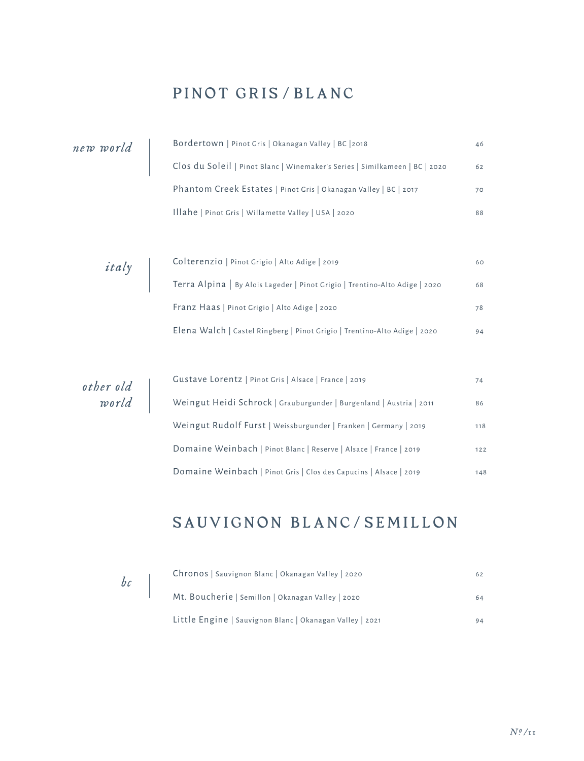## PINOT GRIS/BLANC

| new world          |  | Bordertown   Pinot Gris   Okanagan Valley   BC   2018                       | 46  |
|--------------------|--|-----------------------------------------------------------------------------|-----|
|                    |  | Clos du Soleil   Pinot Blanc   Winemaker's Series   Similkameen   BC   2020 | 62  |
|                    |  | Phantom Creek Estates   Pinot Gris   Okanagan Valley   BC   2017            | 70  |
|                    |  | Illahe   Pinot Gris   Willamette Valley   USA   2020                        | 88  |
|                    |  |                                                                             |     |
|                    |  | Colterenzio   Pinot Grigio   Alto Adige   2019                              | 60  |
| <i>italy</i>       |  | Terra Alpina   By Alois Lageder   Pinot Grigio   Trentino-Alto Adige   2020 | 68  |
|                    |  | Franz Haas   Pinot Grigio   Alto Adige   2020                               | 78  |
|                    |  | Elena Walch   Castel Ringberg   Pinot Grigio   Trentino-Alto Adige   2020   | 94  |
|                    |  |                                                                             |     |
|                    |  | Gustave Lorentz   Pinot Gris   Alsace   France   2019                       | 74  |
| other old<br>world |  | Weingut Heidi Schrock   Grauburgunder   Burgenland   Austria   2011         | 86  |
|                    |  | Weingut Rudolf Furst   Weissburgunder   Franken   Germany   2019            | 118 |
|                    |  | Domaine Weinbach   Pinot Blanc   Reserve   Alsace   France   2019           | 122 |
|                    |  |                                                                             |     |

## SAUVIGNON BLANC/SEMILLON

Domaine Weinbach | Pinot Gris | Clos des Capucins | Alsace | 2019 148

*bc*

| Chronos   Sauvignon Blanc   Okanagan Valley   2020       | 62 |
|----------------------------------------------------------|----|
| Mt. Boucherie   Semillon   Okanagan Valley   2020        | 64 |
| Little Engine   Sauvignon Blanc   Okanagan Valley   2021 | 94 |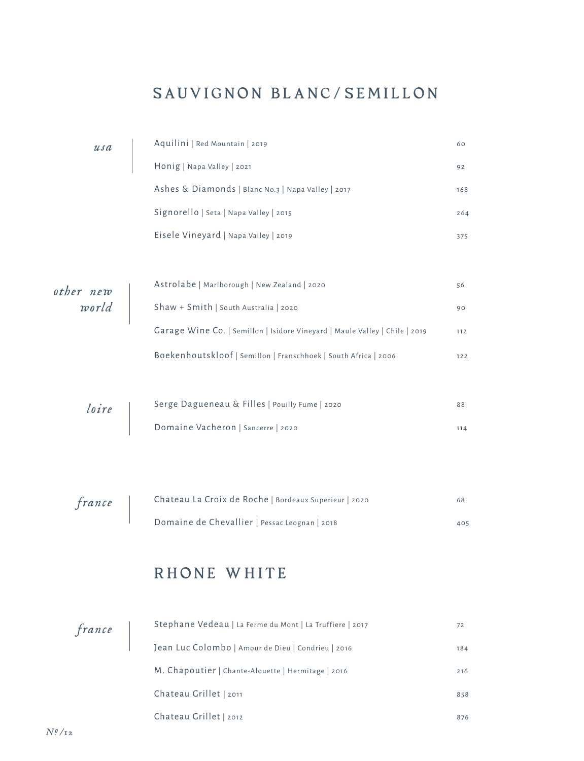## SAUVIGNON BLANC/SEMILLON

|                           | usa    | Aquilini   Red Mountain   2019<br>Honig   Napa Valley   2021                         | 60  |
|---------------------------|--------|--------------------------------------------------------------------------------------|-----|
|                           |        |                                                                                      | 92  |
|                           |        | Ashes & Diamonds   Blanc No.3   Napa Valley   2017                                   | 168 |
|                           |        | Signorello   Seta   Napa Valley   2015                                               | 264 |
|                           |        | Eisele Vineyard   Napa Valley   2019                                                 | 375 |
|                           |        |                                                                                      |     |
|                           |        | Astrolabe   Marlborough   New Zealand   2020                                         | 56  |
| othernew<br>world         |        | Shaw + Smith   South Australia   2020                                                | 90  |
|                           |        | Garage Wine Co.   Semillon   Isidore Vineyard   Maule Valley   Chile   2019          | 112 |
|                           |        | Boekenhoutskloof   Semillon   Franschhoek   South Africa   2006                      | 122 |
|                           |        |                                                                                      |     |
|                           |        |                                                                                      | 88  |
|                           | loire  | Serge Dagueneau & Filles   Pouilly Fume   2020<br>Domaine Vacheron   Sancerre   2020 | 114 |
|                           |        |                                                                                      |     |
|                           |        |                                                                                      |     |
|                           |        | Chateau La Croix de Roche   Bordeaux Superieur   2020                                | 68  |
|                           | france | Domaine de Chevallier   Pessac Leognan   2018                                        | 405 |
|                           |        |                                                                                      |     |
|                           |        |                                                                                      |     |
|                           |        | RHONE WHITE                                                                          |     |
|                           |        |                                                                                      |     |
|                           | france | Stephane Vedeau   La Ferme du Mont   La Truffiere   2017                             | 72  |
|                           |        | Jean Luc Colombo   Amour de Dieu   Condrieu   2016                                   | 184 |
|                           |        | M. Chapoutier   Chante-Alouette   Hermitage   2016                                   | 216 |
|                           |        | Chateau Grillet   2011                                                               | 858 |
| $N_{.}^{\rm 0}/_{\rm 12}$ |        | Chateau Grillet   2012                                                               | 876 |
|                           |        |                                                                                      |     |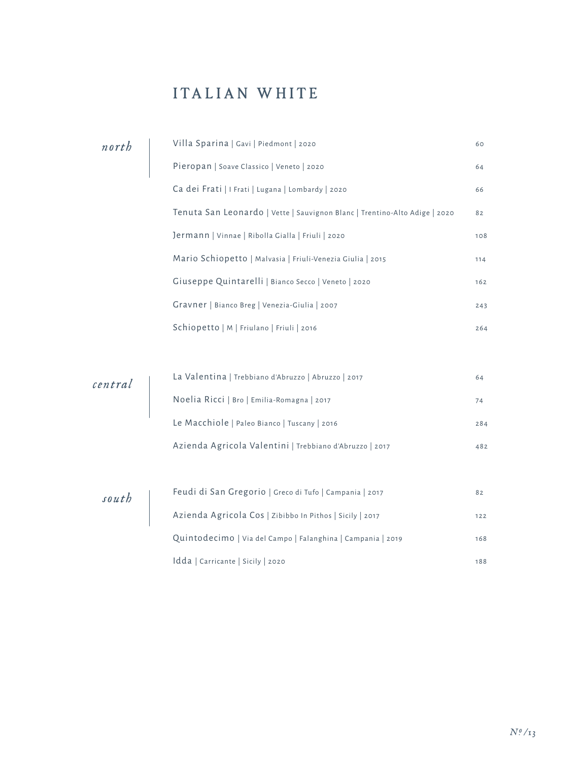## ITALIAN WHITE

| north                                                                          | Villa Sparina   Gavi   Piedmont   2020                                     | 60    |
|--------------------------------------------------------------------------------|----------------------------------------------------------------------------|-------|
|                                                                                | Pieropan   Soave Classico   Veneto   2020                                  | 64    |
|                                                                                | Ca dei Frati   I Frati   Lugana   Lombardy   2020                          | 66    |
|                                                                                | Tenuta San Leonardo   Vette   Sauvignon Blanc   Trentino-Alto Adige   2020 | 82    |
|                                                                                | Jermann   Vinnae   Ribolla Gialla   Friuli   2020                          | 108   |
|                                                                                | Mario Schiopetto   Malvasia   Friuli-Venezia Giulia   2015                 | 114   |
|                                                                                | Giuseppe Quintarelli   Bianco Secco   Veneto   2020                        | 162   |
|                                                                                | Gravner   Bianco Breg   Venezia-Giulia   2007                              | 243   |
|                                                                                | Schiopetto   M   Friulano   Friuli   2016                                  | 264   |
|                                                                                |                                                                            |       |
|                                                                                | La Valentina   Trebbiano d'Abruzzo   Abruzzo   2017                        | 64    |
| $\left  \begin{array}{c} \text{central} \\ \text{initial} \end{array} \right $ | Noelia Ricci   Bro   Emilia-Romagna   2017                                 | 74    |
|                                                                                | Le Macchiole   Paleo Bianco   Tuscany   2016                               | 284   |
|                                                                                | Azienda Agricola Valentini   Trebbiano d'Abruzzo   2017                    | 482   |
|                                                                                |                                                                            |       |
|                                                                                | Feudi di San Gregorio   Greco di Tufo   Campania   2017                    | 82    |
| $s$ outh                                                                       | Azienda Agricola Cos   Zibibbo In Pithos   Sicily   2017                   | $122$ |
|                                                                                | Quintodecimo   Via del Campo   Falanghina   Campania   2019                | 168   |
|                                                                                | Idda   Carricante   Sicily   2020                                          | 188   |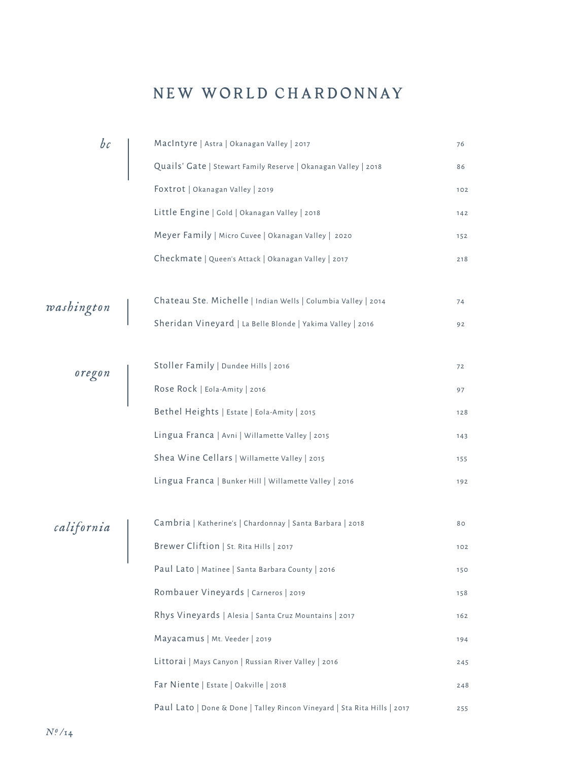### NEW WORLD CHARDONNAY

| bc         | MacIntyre   Astra   Okanagan Valley   2017                               | 76       |
|------------|--------------------------------------------------------------------------|----------|
|            | Quails' Gate   Stewart Family Reserve   Okanagan Valley   2018           | 86       |
|            | Foxtrot   Okanagan Valley   2019                                         | 102      |
|            | Little Engine   Gold   Okanagan Valley   2018                            | 142      |
|            | Meyer Family   Micro Cuvee   Okanagan Valley   2020                      | 152      |
|            | Checkmate   Queen's Attack   Okanagan Valley   2017                      | 218      |
| washington | Chateau Ste. Michelle   Indian Wells   Columbia Valley   2014            | 74<br>92 |
|            | Sheridan Vineyard   La Belle Blonde   Yakima Valley   2016               |          |
|            | Stoller Family   Dundee Hills   2016                                     | 72       |
| oregon     | Rose Rock   Eola-Amity   2016                                            | 97       |
|            | Bethel Heights   Estate   Eola-Amity   2015                              | 128      |
|            | Lingua Franca   Avni   Willamette Valley   2015                          | 143      |
|            | Shea Wine Cellars   Willamette Valley   2015                             | 155      |
|            | Lingua Franca   Bunker Hill   Willamette Valley   2016                   | 192      |
|            | Cambria   Katherine's   Chardonnay   Santa Barbara   2018                | 80       |
| california | Brewer Cliftion   St. Rita Hills   2017                                  | 102      |
|            | Paul Lato   Matinee   Santa Barbara County   2016                        | 150      |
|            | Rombauer Vineyards   Carneros   2019                                     | 158      |
|            | Rhys Vineyards   Alesia   Santa Cruz Mountains   2017                    | 162      |
|            | Mayacamus   Mt. Veeder   2019                                            | 194      |
|            | Littorai   Mays Canyon   Russian River Valley   2016                     | 245      |
|            | Far Niente   Estate   Oakville   2018                                    | 248      |
|            | Paul Lato   Done & Done   Talley Rincon Vineyard   Sta Rita Hills   2017 | 255      |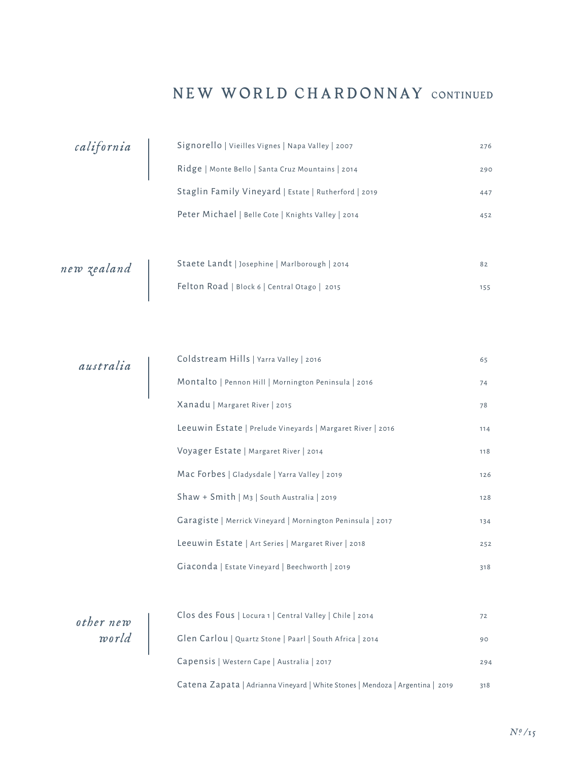#### NEW WORLD CHARDONNAY CONTINUED

| california  | Signorello   Vieilles Vignes   Napa Valley   2007    | 276 |
|-------------|------------------------------------------------------|-----|
|             | Ridge   Monte Bello   Santa Cruz Mountains   2014    | 290 |
|             | Staglin Family Vineyard   Estate   Rutherford   2019 | 447 |
|             | Peter Michael   Belle Cote   Knights Valley   2014   | 452 |
|             |                                                      |     |
| new zealand | Staete Landt   Josephine   Marlborough   2014        | 82  |
|             | Felton Road   Block 6   Central Otago   2015         | 155 |
|             |                                                      |     |

| australia | Coldstream Hills   Yarra Valley   2016                     | 65  |
|-----------|------------------------------------------------------------|-----|
|           | Montalto   Pennon Hill   Mornington Peninsula   2016       | 74  |
|           | Xanadu   Margaret River   2015                             | 78  |
|           | Leeuwin Estate   Prelude Vineyards   Margaret River   2016 | 114 |
|           | Voyager Estate   Margaret River   2014                     | 118 |
|           | Mac Forbes   Gladysdale   Yarra Valley   2019              | 126 |
|           | Shaw + Smith   M <sub>3</sub>   South Australia   2019     | 128 |
|           | Garagiste   Merrick Vineyard   Mornington Peninsula   2017 | 134 |
|           | Leeuwin Estate   Art Series   Margaret River   2018        | 252 |
|           | Giaconda   Estate Vineyard   Beechworth   2019             | 318 |
|           |                                                            |     |

| other new | Clos des Fous   Locura 1   Central Valley   Chile   2014                      | 72  |
|-----------|-------------------------------------------------------------------------------|-----|
| world     | Glen Carlou   Quartz Stone   Paarl   South Africa   2014                      | 90  |
|           | Capensis   Western Cape   Australia   2017                                    | 294 |
|           | Catena Zapata   Adrianna Vineyard   White Stones   Mendoza   Argentina   2019 | 318 |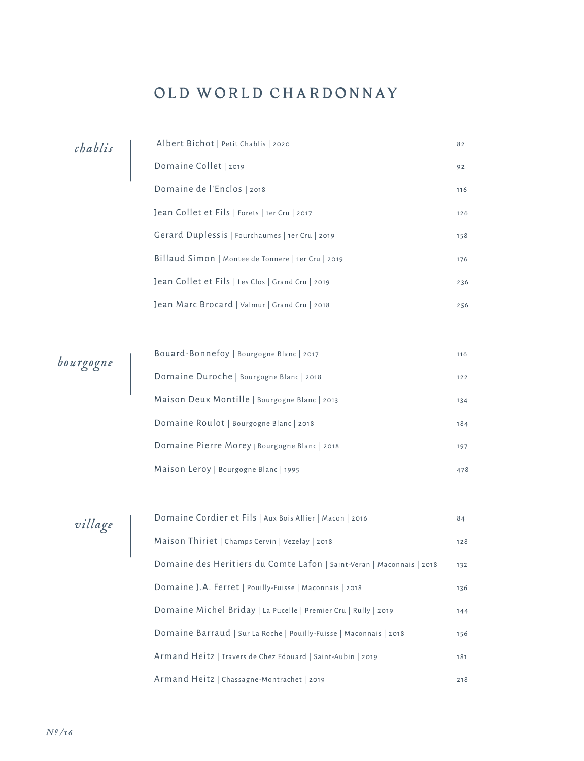## OLD WORLD CHARDONNAY

| chablis | Albert Bichot   Petit Chablis   2020               | 82  |
|---------|----------------------------------------------------|-----|
|         | Domaine Collet   2019                              | 92  |
|         | Domaine de l'Enclos   2018                         | 116 |
|         | Jean Collet et Fils   Forets   1er Cru   2017      | 126 |
|         | Gerard Duplessis   Fourchaumes   1er Cru   2019    | 158 |
|         | Billaud Simon   Montee de Tonnere   1er Cru   2019 | 176 |
|         | Jean Collet et Fils   Les Clos   Grand Cru   2019  | 236 |
|         | Jean Marc Brocard   Valmur   Grand Cru   2018      | 256 |

*bourgogne*

| Bouard-Bonnefoy   Bourgogne Blanc   2017      | 116 |
|-----------------------------------------------|-----|
| Domaine Duroche   Bourgogne Blanc   2018      | 122 |
| Maison Deux Montille   Bourgogne Blanc   2013 | 134 |
| Domaine Roulot   Bourgogne Blanc   2018       | 184 |
| Domaine Pierre Morey   Bourgogne Blanc   2018 | 197 |
| Maison Leroy   Bourgogne Blanc   1995         | 478 |

*village*

| Domaine Cordier et Fils   Aux Bois Allier   Macon   2016              | 84  |
|-----------------------------------------------------------------------|-----|
| Maison Thiriet   Champs Cervin   Vezelay   2018                       | 128 |
| Domaine des Heritiers du Comte Lafon   Saint-Veran   Maconnais   2018 | 132 |
| Domaine J.A. Ferret   Pouilly-Fuisse   Maconnais   2018               | 136 |
| Domaine Michel Briday   La Pucelle   Premier Cru   Rully   2019       | 144 |
| Domaine Barraud   Sur La Roche   Pouilly-Fuisse   Maconnais   2018    | 156 |
| Armand Heitz   Travers de Chez Edouard   Saint-Aubin   2019           | 181 |
| Armand Heitz   Chassagne-Montrachet   2019                            | 218 |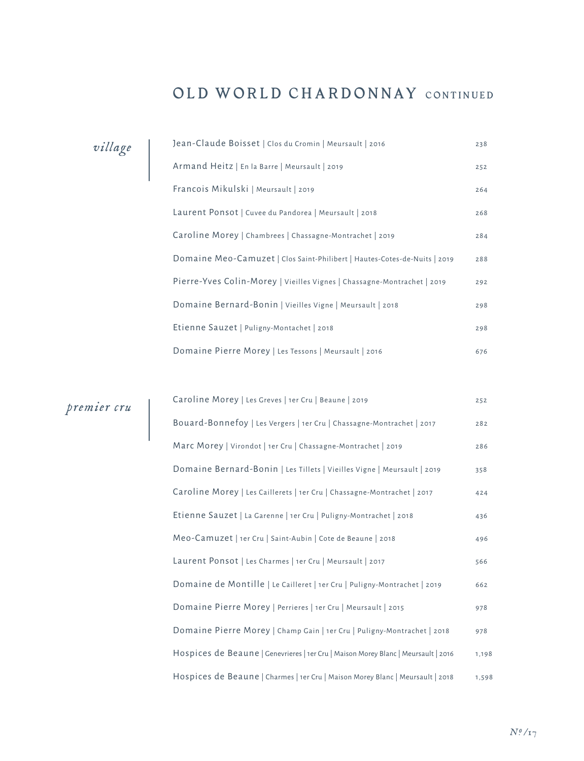#### OLD WORLD CHARDONNAY CONTINUED

| village | Jean-Claude Boisset   Clos du Cromin   Meursault   2016                   | 238 |
|---------|---------------------------------------------------------------------------|-----|
|         | Armand Heitz   En la Barre   Meursault   2019                             | 252 |
|         | Francois Mikulski   Meursault   2019                                      | 264 |
|         | Laurent Ponsot   Cuvee du Pandorea   Meursault   2018                     | 268 |
|         | Caroline Morey   Chambrees   Chassagne-Montrachet   2019                  | 284 |
|         | Domaine Meo-Camuzet   Clos Saint-Philibert   Hautes-Cotes-de-Nuits   2019 | 288 |
|         | Pierre-Yves Colin-Morey   Vieilles Vignes   Chassagne-Montrachet   2019   | 292 |
|         | Domaine Bernard-Bonin   Vieilles Vigne   Meursault   2018                 | 298 |
|         | Etienne Sauzet   Puligny-Montachet   2018                                 | 298 |
|         | Domaine Pierre Morey   Les Tessons   Meursault   2016                     | 676 |

| premier cru | Caroline Morey   Les Greves   1er Cru   Beaune   2019                              | 252   |
|-------------|------------------------------------------------------------------------------------|-------|
|             | Bouard-Bonnefoy   Les Vergers   1er Cru   Chassagne-Montrachet   2017              | 282   |
|             | Marc Morey   Virondot   1er Cru   Chassagne-Montrachet   2019                      | 286   |
|             | Domaine Bernard-Bonin   Les Tillets   Vieilles Vigne   Meursault   2019            | 358   |
|             | Caroline Morey   Les Caillerets   1er Cru   Chassagne-Montrachet   2017            | 424   |
|             | Etienne Sauzet   La Garenne   1er Cru   Puligny-Montrachet   2018                  | 436   |
|             | Meo-Camuzet   1er Cru   Saint-Aubin   Cote de Beaune   2018                        | 496   |
|             | Laurent Ponsot   Les Charmes   1er Cru   Meursault   2017                          | 566   |
|             | Domaine de Montille   Le Cailleret   1er Cru   Puligny-Montrachet   2019           | 662   |
|             | Domaine Pierre Morey   Perrieres   1er Cru   Meursault   2015                      | 978   |
|             | Domaine Pierre Morey   Champ Gain   1er Cru   Puligny-Montrachet   2018            | 978   |
|             | Hospices de Beaune   Genevrieres   1er Cru   Maison Morey Blanc   Meursault   2016 | 1,198 |
|             | Hospices de Beaune   Charmes   1er Cru   Maison Morey Blanc   Meursault   2018     | 1,598 |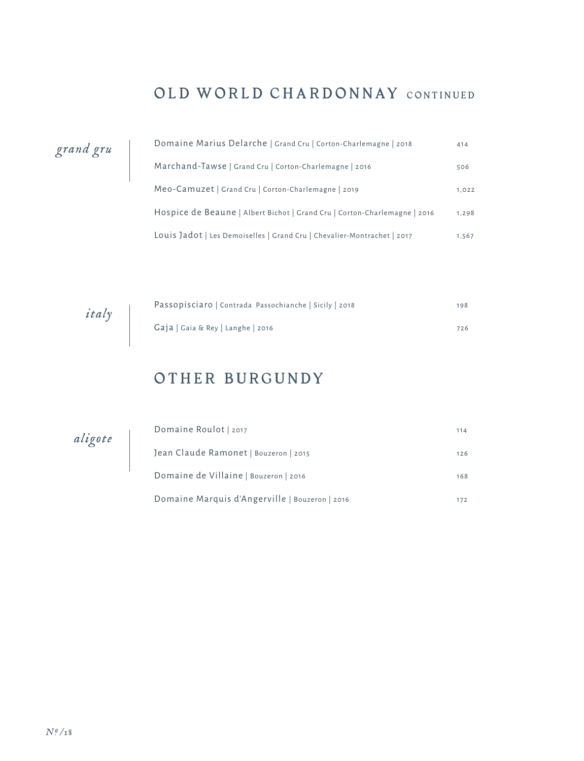## OLD WORLD CHARDONNAY CONTINUED

| grand gru |  |
|-----------|--|
|-----------|--|

| Domaine Marius Delarche   Grand Cru   Corton-Charlemagne   2018           | 414   |
|---------------------------------------------------------------------------|-------|
| Marchand-Tawse   Grand Cru   Corton-Charlemagne   2016                    | 506   |
| Meo-Camuzet   Grand Cru   Corton-Charlemagne   2019                       | 1,022 |
| Hospice de Beaune   Albert Bichot   Grand Cru   Corton-Charlemagne   2016 | 1,298 |
| Louis Jadot   Les Demoiselles   Grand Cru   Chevalier-Montrachet   2017   | 1,567 |

| italy | Passopisciaro   Contrada Passochianche   Sicily   2018 | 198 |
|-------|--------------------------------------------------------|-----|
|       | Gaja   Gaia & Rey   Langhe   2016                      | 726 |

#### OTHER BURGUNDY

*aligote*

| Domaine Roulot   2017                          | 114 |
|------------------------------------------------|-----|
| Jean Claude Ramonet   Bouzeron   2015          | 126 |
| Domaine de Villaine   Bouzeron   2016          | 168 |
| Domaine Marquis d'Angerville   Bouzeron   2016 | 172 |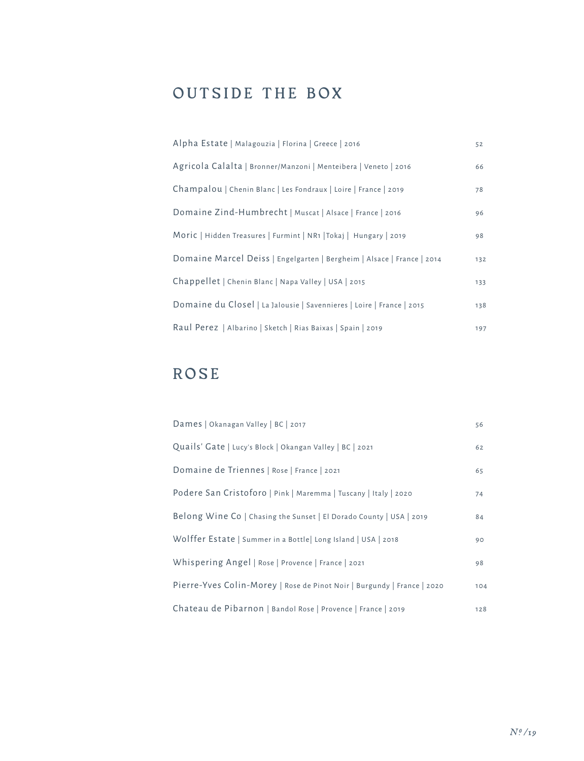## OUTSIDE THE BOX

| Alpha Estate   Malagouzia   Florina   Greece   2016                    | 52  |
|------------------------------------------------------------------------|-----|
| Agricola Calalta   Bronner/Manzoni   Menteibera   Veneto   2016        | 66  |
| Champalou   Chenin Blanc   Les Fondraux   Loire   France   2019        | 78  |
| Domaine Zind-Humbrecht   Muscat   Alsace   France   2016               | 96  |
| Moric   Hidden Treasures   Furmint   NR1   Tokaj   Hungary   2019      | 98  |
| Domaine Marcel Deiss   Engelgarten   Bergheim   Alsace   France   2014 | 132 |
| Chappellet   Chenin Blanc   Napa Valley   USA   2015                   | 133 |
| Domaine du Closel   La Jalousie   Savennieres   Loire   France   2015  | 138 |
| Raul Perez   Albarino   Sketch   Rias Baixas   Spain   2019            | 197 |

## ROSE

| Dames   Okanagan Valley   BC   2017                                     | 56  |
|-------------------------------------------------------------------------|-----|
| Quails' Gate   Lucy's Block   Okangan Valley   BC   2021                | 62  |
| Domaine de Triennes   Rose   France   2021                              | 65  |
| Podere San Cristoforo   Pink   Maremma   Tuscany   Italy   2020         | 74  |
| Belong Wine Co   Chasing the Sunset   El Dorado County   USA   2019     | 84  |
| Wolffer Estate   Summer in a Bottle   Long Island   USA   2018          | 90  |
| Whispering Angel   Rose   Provence   France   2021                      | 98  |
| Pierre-Yves Colin-Morey   Rose de Pinot Noir   Burgundy   France   2020 | 104 |
| Chateau de Pibarnon   Bandol Rose   Provence   France   2019            | 128 |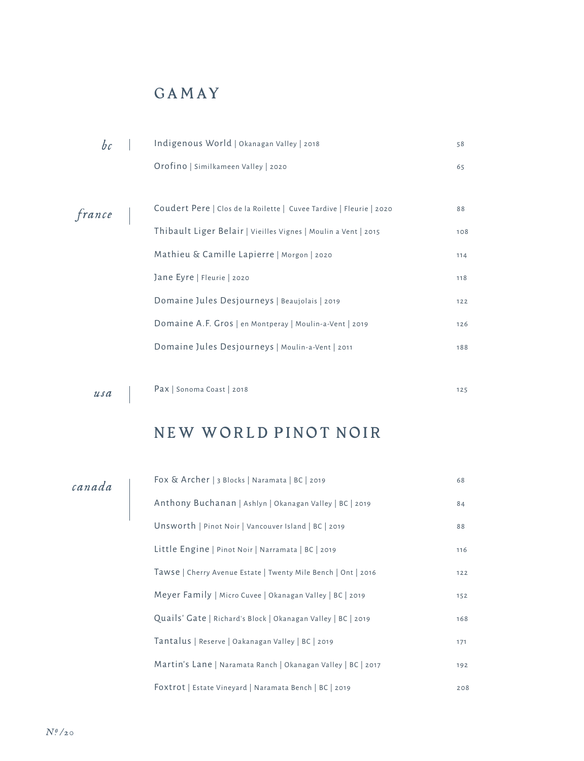## GAMAY

|        | Indigenous World   Okanagan Valley   2018                           | 58  |
|--------|---------------------------------------------------------------------|-----|
|        | Orofino   Similkameen Valley   2020                                 | 65  |
|        |                                                                     |     |
| france | Coudert Pere   Clos de la Roilette   Cuvee Tardive   Fleurie   2020 | 88  |
|        | Thibault Liger Belair   Vieilles Vignes   Moulin a Vent   2015      | 108 |
|        | Mathieu & Camille Lapierre   Morgon   2020                          | 114 |
|        | Jane Eyre   Fleurie   2020                                          | 118 |
|        | Domaine Jules Desjourneys   Beaujolais   2019                       | 122 |
|        | Domaine A.F. Gros   en Montperay   Moulin-a-Vent   2019             | 126 |
|        | Domaine Jules Desjourneys   Moulin-a-Vent   2011                    | 188 |
|        |                                                                     |     |

*usa*

Pax | Sonoma Coast | 2018 125

## NEW WORLD PINOT NOIR

#### *canada*

| Fox & Archer   3 Blocks   Naramata   BC   2019                | 68  |
|---------------------------------------------------------------|-----|
| Anthony Buchanan   Ashlyn   Okanagan Valley   BC   2019       | 84  |
| Unsworth   Pinot Noir   Vancouver Island   BC   2019          | 88  |
| Little Engine   Pinot Noir   Narramata   BC   2019            | 116 |
| Tawse   Cherry Avenue Estate   Twenty Mile Bench   Ont   2016 | 122 |
| Meyer Family   Micro Cuvee   Okanagan Valley   BC   2019      | 152 |
| Quails' Gate   Richard's Block   Okanagan Valley   BC   2019  | 168 |
| Tantalus   Reserve   Oakanagan Valley   BC   2019             | 171 |
| Martin's Lane   Naramata Ranch   Okanagan Valley   BC   2017  | 192 |
| Foxtrot   Estate Vineyard   Naramata Bench   BC   2019        | 208 |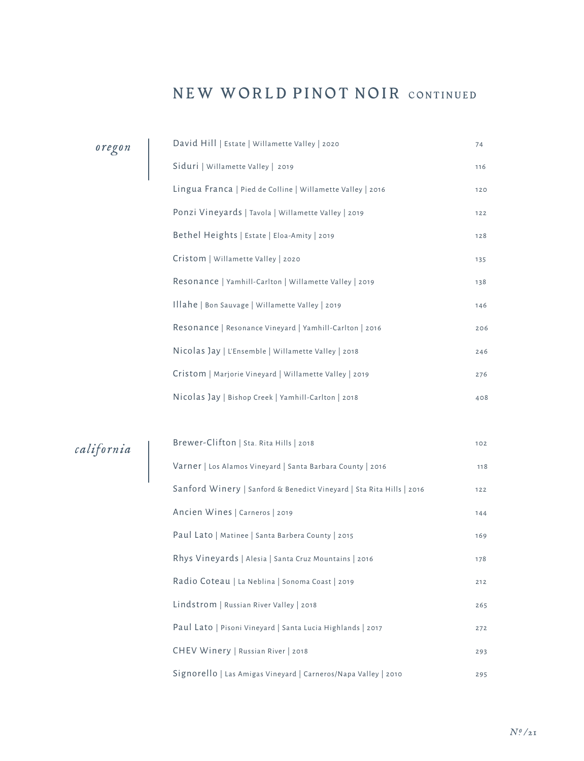#### NEW WORLD PINOT NOIR CONTINUED

| oregon     | David Hill   Estate   Willamette Valley   2020             | 74  |
|------------|------------------------------------------------------------|-----|
|            | Siduri   Willamette Valley   2019                          | 116 |
|            | Lingua Franca   Pied de Colline   Willamette Valley   2016 | 120 |
|            | Ponzi Vineyards   Tavola   Willamette Valley   2019        | 122 |
|            | Bethel Heights   Estate   Eloa-Amity   2019                | 128 |
|            | Cristom   Willamette Valley   2020                         | 135 |
|            | Resonance   Yamhill-Carlton   Willamette Valley   2019     | 138 |
|            | Illahe   Bon Sauvage   Willamette Valley   2019            | 146 |
|            | Resonance   Resonance Vineyard   Yamhill-Carlton   2016    | 206 |
|            | Nicolas Jay   L'Ensemble   Willamette Valley   2018        | 246 |
|            | Cristom   Marjorie Vineyard   Willamette Valley   2019     | 276 |
|            | Nicolas Jay   Bishop Creek   Yamhill-Carlton   2018        | 408 |
|            |                                                            |     |
| california | Brewer-Clifton   Sta. Rita Hills   2018                    | 102 |
|            | Varner   Los Alamos Vineyard   Santa Barbara County   2016 | 118 |
|            |                                                            |     |

| Brewer-Clifton   Sta. Rita Hills   2018                              | 102 |
|----------------------------------------------------------------------|-----|
| Varner   Los Alamos Vineyard   Santa Barbara County   2016           | 118 |
| Sanford Winery   Sanford & Benedict Vineyard   Sta Rita Hills   2016 | 122 |
| Ancien Wines   Carneros   2019                                       | 144 |
| Paul Lato   Matinee   Santa Barbera County   2015                    | 169 |
| Rhys Vineyards   Alesia   Santa Cruz Mountains   2016                | 178 |
| Radio Coteau   La Neblina   Sonoma Coast   2019                      | 212 |
| Lindstrom   Russian River Valley   2018                              | 265 |
| Paul Lato   Pisoni Vineyard   Santa Lucia Highlands   2017           | 272 |
| CHEV Winery   Russian River   2018                                   | 293 |
| Signorello   Las Amigas Vineyard   Carneros/Napa Valley   2010       | 295 |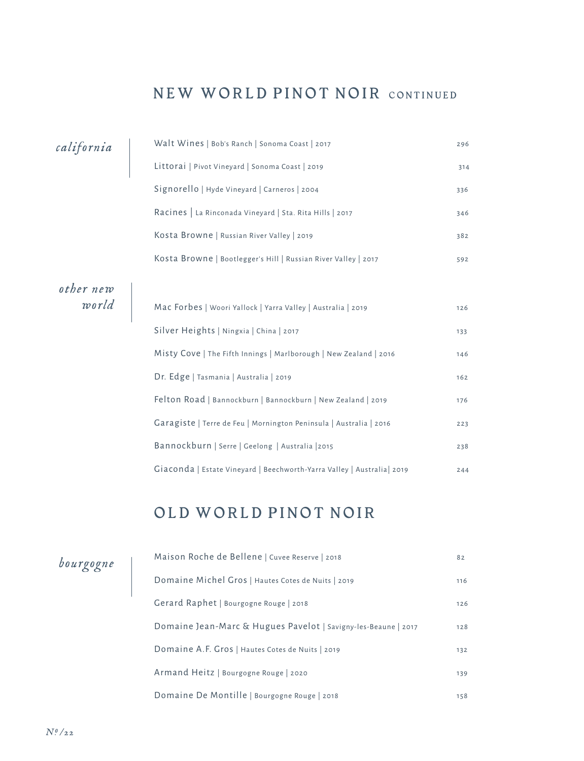### NEW WORLD PINOT NOIR CONTINUED

| california         | Walt Wines   Bob's Ranch   Sonoma Coast   2017                          | 296 |
|--------------------|-------------------------------------------------------------------------|-----|
|                    | Littorai   Pivot Vineyard   Sonoma Coast   2019                         | 314 |
|                    | Signorello   Hyde Vineyard   Carneros   2004                            | 336 |
|                    | Racines   La Rinconada Vineyard   Sta. Rita Hills   2017                | 346 |
|                    | Kosta Browne   Russian River Valley   2019                              | 382 |
|                    | Kosta Browne   Bootlegger's Hill   Russian River Valley   2017          | 592 |
|                    |                                                                         |     |
| other new<br>world | Mac Forbes   Woori Yallock   Yarra Valley   Australia   2019            | 126 |
|                    | Silver Heights   Ningxia   China   2017                                 | 133 |
|                    | Misty Cove   The Fifth Innings   Marlborough   New Zealand   2016       | 146 |
|                    | Dr. Edge   Tasmania   Australia   2019                                  | 162 |
|                    | Felton Road   Bannockburn   Bannockburn   New Zealand   2019            | 176 |
|                    | Garagiste   Terre de Feu   Mornington Peninsula   Australia   2016      | 223 |
|                    | Bannockburn   Serre   Geelong   Australia   2015                        | 238 |
|                    | Giaconda   Estate Vineyard   Beechworth-Yarra Valley   Australia   2019 | 244 |

## OLD WORLD PINOT NOIR

| bourgogne |  |  |  |  |  |
|-----------|--|--|--|--|--|
|-----------|--|--|--|--|--|

| Maison Roche de Bellene   Cuvee Reserve   2018                 | 82  |
|----------------------------------------------------------------|-----|
| Domaine Michel Gros   Hautes Cotes de Nuits   2019             | 116 |
| Gerard Raphet   Bourgogne Rouge   2018                         | 126 |
| Domaine Jean-Marc & Hugues Pavelot   Savigny-les-Beaune   2017 | 128 |
| Domaine A.F. Gros   Hautes Cotes de Nuits   2019               | 132 |
| Armand Heitz   Bourgogne Rouge   2020                          | 139 |
| Domaine De Montille   Bourgogne Rouge   2018                   | 158 |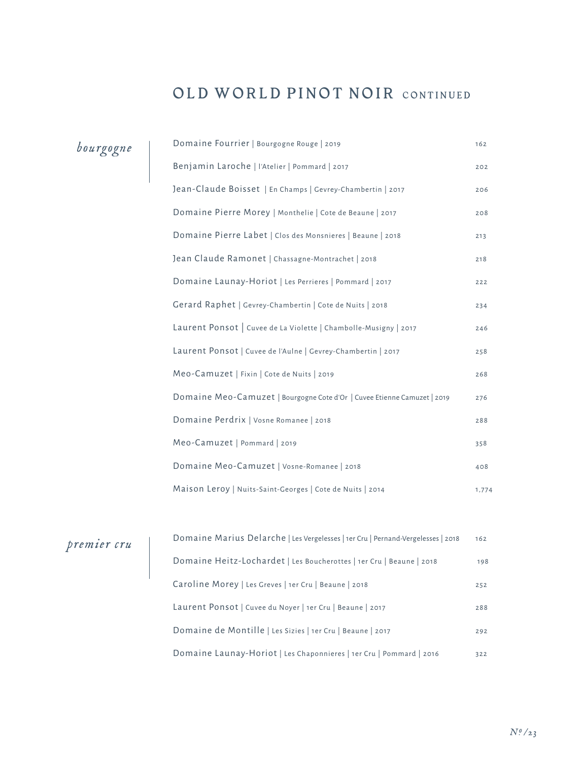## OLD WORLD PINOT NOIR CONTINUED

| bourgogne   | Domaine Fourrier   Bourgogne Rouge   2019                                        | 162   |
|-------------|----------------------------------------------------------------------------------|-------|
|             | Benjamin Laroche   l'Atelier   Pommard   2017                                    | 202   |
|             | Jean-Claude Boisset   En Champs   Gevrey-Chambertin   2017                       | 206   |
|             | Domaine Pierre Morey   Monthelie   Cote de Beaune   2017                         | 208   |
|             | Domaine Pierre Labet   Clos des Monsnieres   Beaune   2018                       | 213   |
|             | Jean Claude Ramonet   Chassagne-Montrachet   2018                                | 218   |
|             | Domaine Launay-Horiot   Les Perrieres   Pommard   2017                           | 222   |
|             | Gerard Raphet   Gevrey-Chambertin   Cote de Nuits   2018                         | 234   |
|             | Laurent Ponsot   Cuvee de La Violette   Chambolle-Musigny   2017                 | 246   |
|             | Laurent Ponsot   Cuvee de l'Aulne   Gevrey-Chambertin   2017                     | 258   |
|             | Meo-Camuzet   Fixin   Cote de Nuits   2019                                       | 268   |
|             | Domaine Meo-Camuzet   Bourgogne Cote d'Or   Cuvee Etienne Camuzet   2019         | 276   |
|             | Domaine Perdrix   Vosne Romanee   2018                                           | 288   |
|             | Meo-Camuzet   Pommard   2019                                                     | 358   |
|             | Domaine Meo-Camuzet   Vosne-Romanee   2018                                       | 408   |
|             | Maison Leroy   Nuits-Saint-Georges   Cote de Nuits   2014                        | 1,774 |
|             |                                                                                  |       |
|             | Domaine Marius Delarche   Les Vergelesses   1er Cru   Pernand-Vergelesses   2018 | 162   |
| premier cru | Domaine Heitz-Lochardet   Les Boucherottes   1er Cru   Beaune   2018             | 198   |

 $\overline{1}$ 

| Domaine Heitz-Lochardet   Les Boucherottes   1er Cru   Beaune   2018 | 198 |
|----------------------------------------------------------------------|-----|
| Caroline Morey   Les Greves   1er Cru   Beaune   2018                | 252 |
| Laurent Ponsot   Cuvee du Noyer   1er Cru   Beaune   2017            | 288 |
| Domaine de Montille   Les Sizies   1er Cru   Beaune   2017           | 292 |
| Domaine Launay-Horiot   Les Chaponnieres   1er Cru   Pommard   2016  | 322 |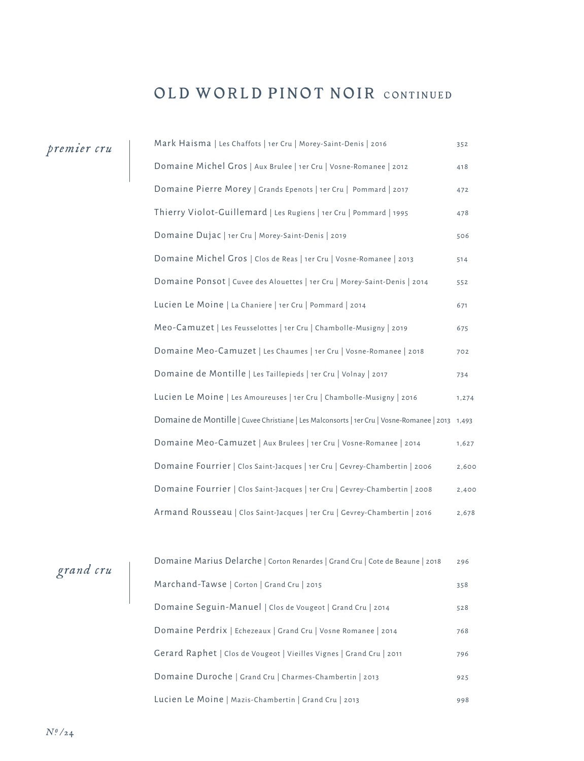## OLD WORLD PINOT NOIR CONTINUED

## *premier cru*

| Mark Haisma   Les Chaffots   1er Cru   Morey-Saint-Denis   2016                                 | 352   |
|-------------------------------------------------------------------------------------------------|-------|
| Domaine Michel Gros   Aux Brulee   1er Cru   Vosne-Romanee   2012                               | 418   |
| Domaine Pierre Morey   Grands Epenots   1er Cru   Pommard   2017                                | 472   |
| Thierry Violot-Guillemard   Les Rugiens   1er Cru   Pommard   1995                              | 478   |
| Domaine Dujac   1er Cru   Morey-Saint-Denis   2019                                              | 506   |
| Domaine Michel Gros   Clos de Reas   1er Cru   Vosne-Romanee   2013                             | 514   |
| Domaine Ponsot   Cuvee des Alouettes   1er Cru   Morey-Saint-Denis   2014                       | 552   |
| Lucien Le Moine   La Chaniere   1er Cru   Pommard   2014                                        | 671   |
| Meo-Camuzet   Les Feusselottes   1er Cru   Chambolle-Musigny   2019                             | 675   |
| Domaine Meo-Camuzet   Les Chaumes   1er Cru   Vosne-Romanee   2018                              | 702   |
| Domaine de Montille   Les Taillepieds   1er Cru   Volnay   2017                                 | 734   |
| Lucien Le Moine   Les Amoureuses   1er Cru   Chambolle-Musigny   2016                           | 1,274 |
| Domaine de Montille   Cuvee Christiane   Les Malconsorts   1er Cru   Vosne-Romanee   2013 1,493 |       |
| Domaine Meo-Camuzet   Aux Brulees   1er Cru   Vosne-Romanee   2014                              | 1,627 |
| Domaine Fourrier   Clos Saint-Jacques   1er Cru   Gevrey-Chambertin   2006                      | 2,600 |
| Domaine Fourrier   Clos Saint-Jacques   1er Cru   Gevrey-Chambertin   2008                      | 2,400 |
| Armand Rousseau   Clos Saint-Jacques   1er Cru   Gevrey-Chambertin   2016                       | 2,678 |

# *grand cru*

| Domaine Marius Delarche   Corton Renardes   Grand Cru   Cote de Beaune   2018 | 296 |
|-------------------------------------------------------------------------------|-----|
| Marchand-Tawse   Corton   Grand Cru   2015                                    | 358 |
| Domaine Seguin-Manuel   Clos de Vougeot   Grand Cru   2014                    | 528 |
| Domaine Perdrix   Echezeaux   Grand Cru   Vosne Romanee   2014                | 768 |
| Gerard Raphet   Clos de Vougeot   Vieilles Vignes   Grand Cru   2011          | 796 |
| Domaine Duroche   Grand Cru   Charmes-Chambertin   2013                       | 925 |
| Lucien Le Moine   Mazis-Chambertin   Grand Cru   2013                         | 998 |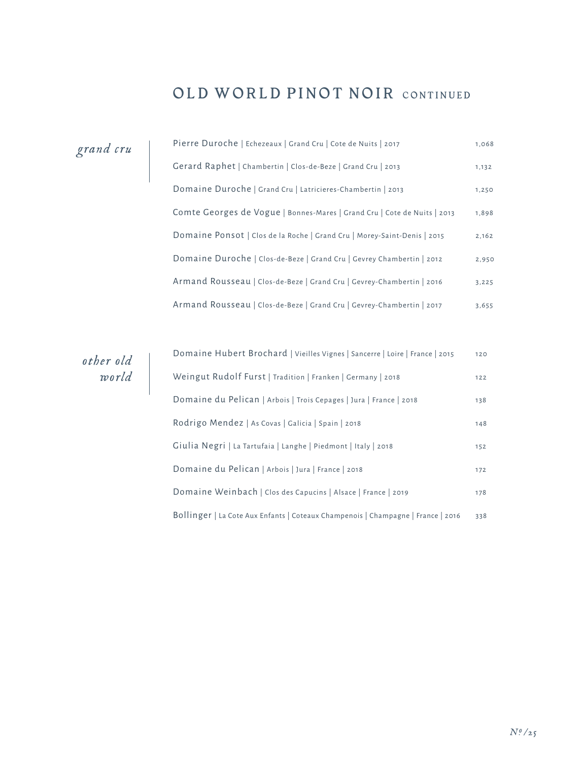## OLD WORLD PINOT NOIR CONTINUED

| grand cru | Pierre Duroche   Echezeaux   Grand Cru   Cote de Nuits   2017            | 1,068 |
|-----------|--------------------------------------------------------------------------|-------|
|           | Gerard Raphet   Chambertin   Clos-de-Beze   Grand Cru   2013             | 1,132 |
|           | Domaine Duroche   Grand Cru   Latricieres-Chambertin   2013              | 1,250 |
|           | Comte Georges de Vogue   Bonnes-Mares   Grand Cru   Cote de Nuits   2013 | 1,898 |
|           | Domaine Ponsot   Clos de la Roche   Grand Cru   Morey-Saint-Denis   2015 | 2,162 |
|           | Domaine Duroche   Clos-de-Beze   Grand Cru   Gevrey Chambertin   2012    | 2,950 |
|           | Armand Rousseau   Clos-de-Beze   Grand Cru   Gevrey-Chambertin   2016    | 3,225 |
|           | Armand Rousseau   Clos-de-Beze   Grand Cru   Gevrey-Chambertin   2017    | 3,655 |

*other old world*

| Domaine Hubert Brochard   Vieilles Vignes   Sancerre   Loire   France   2015     | 120 |
|----------------------------------------------------------------------------------|-----|
| Weingut Rudolf Furst   Tradition   Franken   Germany   2018                      | 122 |
| Domaine du Pelican   Arbois   Trois Cepages   Jura   France   2018               | 138 |
| Rodrigo Mendez   As Covas   Galicia   Spain   2018                               | 148 |
| Giulia Negri   La Tartufaia   Langhe   Piedmont   Italy   2018                   | 152 |
| Domaine du Pelican   Arbois   Jura   France   2018                               | 172 |
| Domaine Weinbach   Clos des Capucins   Alsace   France   2019                    | 178 |
| Bollinger   La Cote Aux Enfants   Coteaux Champenois   Champagne   France   2016 | 338 |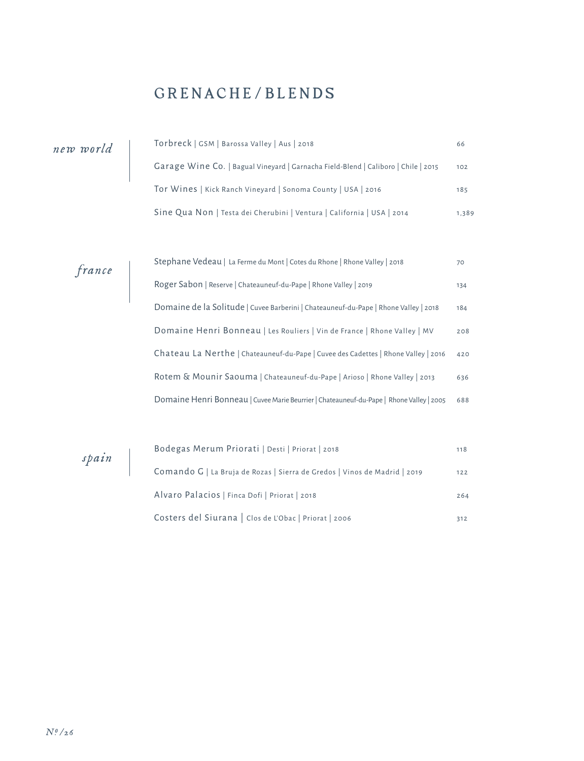## GRENACHE/BLENDS

| new world | Torbreck   GSM   Barossa Valley   Aus   2018                                       | 66    |
|-----------|------------------------------------------------------------------------------------|-------|
|           | Garage Wine Co.   Bagual Vineyard   Garnacha Field-Blend   Caliboro   Chile   2015 | 102   |
|           | Tor Wines   Kick Ranch Vineyard   Sonoma County   USA   2016                       | 185   |
|           | Sine Qua Non   Testa dei Cherubini   Ventura   California   USA   2014             | 1,389 |

*france*

*spain*

| Stephane Vedeau   La Ferme du Mont   Cotes du Rhone   Rhone Valley   2018                |     |
|------------------------------------------------------------------------------------------|-----|
| Roger Sabon   Reserve   Chateauneuf-du-Pape   Rhone Valley   2019                        | 134 |
| Domaine de la Solitude   Cuvee Barberini   Chateauneuf-du-Pape   Rhone Valley   2018     | 184 |
| Domaine Henri Bonneau   Les Rouliers   Vin de France   Rhone Valley   MV                 | 208 |
| Chateau La Nerthe   Chateauneuf-du-Pape   Cuvee des Cadettes   Rhone Valley   2016       | 420 |
| Rotem & Mounir Saouma   Chateauneuf-du-Pape   Arioso   Rhone Valley   2013               | 636 |
| Domaine Henri Bonneau   Cuvee Marie Beurrier   Chateauneuf-du-Pape   Rhone Valley   2005 | 688 |

| Bodegas Merum Priorati   Desti   Priorat   2018                           | 118 |
|---------------------------------------------------------------------------|-----|
| Comando G   La Bruja de Rozas   Sierra de Gredos   Vinos de Madrid   2019 | 122 |
| Alvaro Palacios   Finca Dofi   Priorat   2018                             | 264 |
| Costers del Siurana   Clos de L'Obac   Priorat   2006                     | 312 |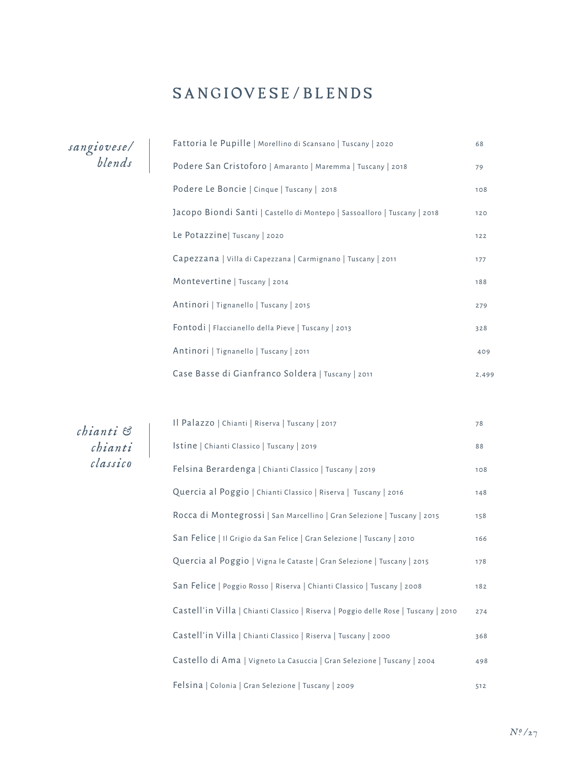## SANGIOVESE/BLENDS

*sangiovese/ blends*

| Fattoria le Pupille   Morellino di Scansano   Tuscany   2020             |       |
|--------------------------------------------------------------------------|-------|
| Podere San Cristoforo   Amaranto   Maremma   Tuscany   2018              |       |
| Podere Le Boncie   Cinque   Tuscany   2018                               | 108   |
| Jacopo Biondi Santi   Castello di Montepo   Sassoalloro   Tuscany   2018 | 120   |
| Le Potazzine  Tuscany   2020                                             | $122$ |
| Capezzana   Villa di Capezzana   Carmignano   Tuscany   2011             |       |
| Montevertine   Tuscany   2014                                            |       |
| Antinori   Tignanello   Tuscany   2015                                   |       |
| Fontodi   Flaccianello della Pieve   Tuscany   2013                      | 328   |
| Antinori   Tignanello   Tuscany   2011                                   |       |
| Case Basse di Gianfranco Soldera   Tuscany   2011                        |       |

*chianti & chianti classico*

| Il Palazzo   Chianti   Riserva   Tuscany   2017                                    |     |
|------------------------------------------------------------------------------------|-----|
| Istine   Chianti Classico   Tuscany   2019                                         | 88  |
| Felsina Berardenga   Chianti Classico   Tuscany   2019                             | 108 |
| Quercia al Poggio   Chianti Classico   Riserva   Tuscany   2016                    | 148 |
| Rocca di Montegrossi   San Marcellino   Gran Selezione   Tuscany   2015            | 158 |
| San Felice   Il Grigio da San Felice   Gran Selezione   Tuscany   2010             | 166 |
| Quercia al Poggio   Vigna le Cataste   Gran Selezione   Tuscany   2015             |     |
| San Felice   Poggio Rosso   Riserva   Chianti Classico   Tuscany   2008            | 182 |
| Castell'in Villa   Chianti Classico   Riserva   Poggio delle Rose   Tuscany   2010 | 274 |
| Castell'in Villa   Chianti Classico   Riserva   Tuscany   2000                     | 368 |
| Castello di Ama   Vigneto La Casuccia   Gran Selezione   Tuscany   2004            | 498 |
| Felsina   Colonia   Gran Selezione   Tuscany   2009                                | 512 |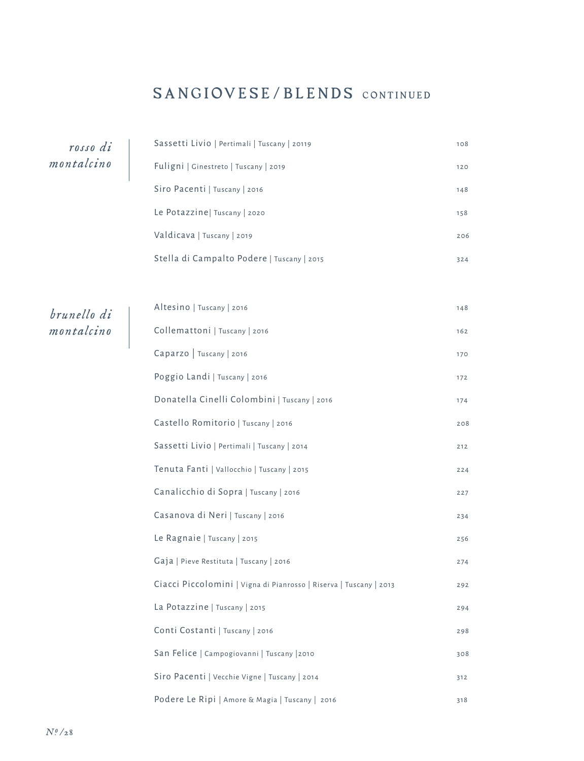## SANGIOVESE/BLENDS CONTINUED

*rosso di montalcino*

*brunello di montalcino*

| Sassetti Livio   Pertimali   Tuscany   20119                       | 108 |
|--------------------------------------------------------------------|-----|
| Fuligni   Ginestreto   Tuscany   2019                              | 120 |
| Siro Pacenti   Tuscany   2016                                      | 148 |
| Le Potazzine   Tuscany   2020                                      | 158 |
| Valdicava   Tuscany   2019                                         | 206 |
| Stella di Campalto Podere   Tuscany   2015                         | 324 |
|                                                                    |     |
| Altesino   Tuscany   2016                                          | 148 |
| Collemattoni   Tuscany   2016                                      | 162 |
| Caparzo   Tuscany   2016                                           | 170 |
| Poggio Landi   Tuscany   2016                                      | 172 |
| Donatella Cinelli Colombini   Tuscany   2016                       | 174 |
| Castello Romitorio   Tuscany   2016                                | 208 |
| Sassetti Livio   Pertimali   Tuscany   2014                        | 212 |
| Tenuta Fanti   Vallocchio   Tuscany   2015                         | 224 |
| Canalicchio di Sopra   Tuscany   2016                              | 227 |
| Casanova di Neri   Tuscany   2016                                  | 234 |
| Le Ragnaie   Tuscany   2015                                        | 256 |
| Gaja   Pieve Restituta   Tuscany   2016                            | 274 |
| Ciacci Piccolomini   Vigna di Pianrosso   Riserva   Tuscany   2013 | 292 |
| La Potazzine   Tuscany   2015                                      | 294 |
| Conti Costanti   Tuscany   2016                                    | 298 |
| San Felice   Campogiovanni   Tuscany   2010                        | 308 |
| Siro Pacenti   Vecchie Vigne   Tuscany   2014                      | 312 |
| Podere Le Ripi   Amore & Magia   Tuscany   2016                    | 318 |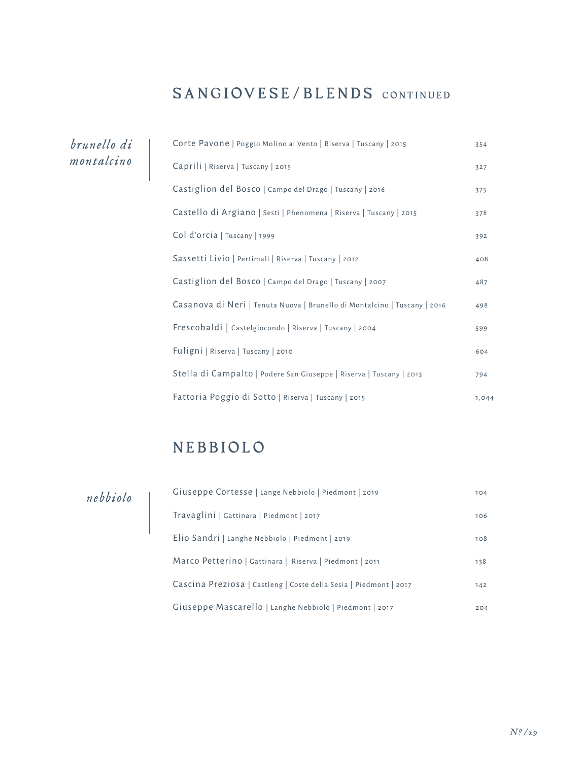## SANGIOVESE/BLENDS CONTINUED

*brunello di montalcino*

| Corte Pavone   Poggio Molino al Vento   Riserva   Tuscany   2015          | 354   |
|---------------------------------------------------------------------------|-------|
| Caprili   Riserva   Tuscany   2015                                        | 327   |
| Castiglion del Bosco   Campo del Drago   Tuscany   2016                   | 375   |
| Castello di Argiano   Sesti   Phenomena   Riserva   Tuscany   2015        | 378   |
| Col d'orcia   Tuscany   1999                                              | 392   |
| Sassetti Livio   Pertimali   Riserva   Tuscany   2012                     | 408   |
| Castiglion del Bosco   Campo del Drago   Tuscany   2007                   | 487   |
| Casanova di Neri   Tenuta Nuova   Brunello di Montalcino   Tuscany   2016 |       |
| Frescobaldi   Castelgiocondo   Riserva   Tuscany   2004                   | 599   |
| Fuligni   Riserva   Tuscany   2010                                        | 604   |
| Stella di Campalto   Podere San Giuseppe   Riserva   Tuscany   2013       | 794   |
| Fattoria Poggio di Sotto   Riserva   Tuscany   2015                       | 1,044 |

## NEBBIOLO

*nebbiolo*

| Giuseppe Cortesse   Lange Nebbiolo   Piedmont   2019              |     |
|-------------------------------------------------------------------|-----|
| Travaglini   Gattinara   Piedmont   2017                          | 106 |
| Elio Sandri   Langhe Nebbiolo   Piedmont   2019                   | 108 |
| Marco Petterino   Gattinara   Riserva   Piedmont   2011           |     |
| Cascina Preziosa   Castleng   Coste della Sesia   Piedmont   2017 | 142 |
| Giuseppe Mascarello   Langhe Nebbiolo   Piedmont   2017           | 204 |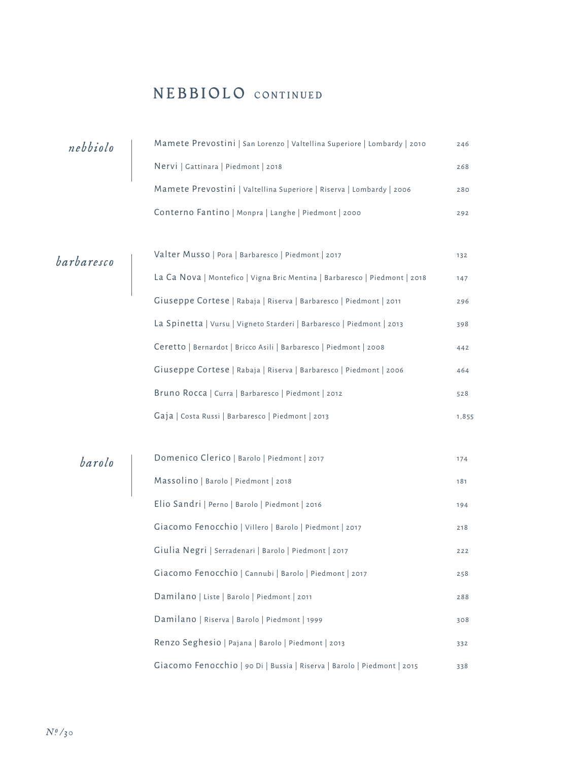#### NEBBIOLO CONTINUED

| nebbiolo   | Mamete Prevostini   San Lorenzo   Valtellina Superiore   Lombardy   2010   | 246   |
|------------|----------------------------------------------------------------------------|-------|
|            | Nervi   Gattinara   Piedmont   2018                                        | 268   |
|            | Mamete Prevostini   Valtellina Superiore   Riserva   Lombardy   2006       | 280   |
|            | Conterno Fantino   Monpra   Langhe   Piedmont   2000                       | 292   |
|            |                                                                            |       |
|            | Valter Musso   Pora   Barbaresco   Piedmont   2017                         | 132   |
| barbaresco | La Ca Nova   Montefico   Vigna Bric Mentina   Barbaresco   Piedmont   2018 | 147   |
|            | Giuseppe Cortese   Rabaja   Riserva   Barbaresco   Piedmont   2011         | 296   |
|            | La Spinetta   Vursu   Vigneto Starderi   Barbaresco   Piedmont   2013      | 398   |
|            | Ceretto   Bernardot   Bricco Asili   Barbaresco   Piedmont   2008          | 442   |
|            | Giuseppe Cortese   Rabaja   Riserva   Barbaresco   Piedmont   2006         | 464   |
|            | Bruno Rocca   Curra   Barbaresco   Piedmont   2012                         | 528   |
|            | Gaja   Costa Russi   Barbaresco   Piedmont   2013                          | 1,855 |
|            |                                                                            |       |
| barolo     | Domenico Clerico   Barolo   Piedmont   2017                                | 174   |
|            | Massolino   Barolo   Piedmont   2018                                       | 181   |
|            | Elio Sandri   Perno   Barolo   Piedmont   2016                             | 194   |
|            | Giacomo Fenocchio   Villero   Barolo   Piedmont   2017                     | 218   |
|            | Giulia Negri   Serradenari   Barolo   Piedmont   2017                      | 222   |
|            | Giacomo Fenocchio   Cannubi   Barolo   Piedmont   2017                     | 258   |
|            | Damilano   Liste   Barolo   Piedmont   2011                                | 288   |
|            | Damilano   Riserva   Barolo   Piedmont   1999                              | 308   |
|            | Renzo Seghesio   Pajana   Barolo   Piedmont   2013                         | 332   |
|            | Giacomo Fenocchio   90 Di   Bussia   Riserva   Barolo   Piedmont   2015    | 338   |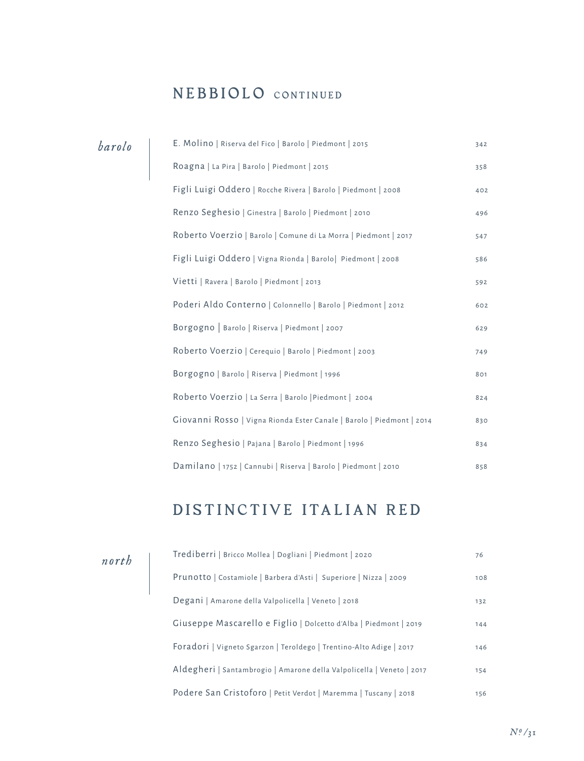### NEBBIOLO CONTINUED

| barolo | E. Molino   Riserva del Fico   Barolo   Piedmont   2015               | 342 |
|--------|-----------------------------------------------------------------------|-----|
|        | Roagna   La Pira   Barolo   Piedmont   2015                           | 358 |
|        | Figli Luigi Oddero   Rocche Rivera   Barolo   Piedmont   2008         | 402 |
|        | Renzo Seghesio   Ginestra   Barolo   Piedmont   2010                  | 496 |
|        | Roberto Voerzio   Barolo   Comune di La Morra   Piedmont   2017       | 547 |
|        | Figli Luigi Oddero   Vigna Rionda   Barolo   Piedmont   2008          | 586 |
|        | Vietti   Ravera   Barolo   Piedmont   2013                            | 592 |
|        | Poderi Aldo Conterno   Colonnello   Barolo   Piedmont   2012          | 602 |
|        | Borgogno   Barolo   Riserva   Piedmont   2007                         | 629 |
|        | Roberto Voerzio   Cereguio   Barolo   Piedmont   2003                 | 749 |
|        | Borgogno   Barolo   Riserva   Piedmont   1996                         | 801 |
|        | Roberto Voerzio   La Serra   Barolo   Piedmont   2004                 | 824 |
|        | Giovanni Rosso   Vigna Rionda Ester Canale   Barolo   Piedmont   2014 | 830 |
|        | Renzo Seghesio   Pajana   Barolo   Piedmont   1996                    | 834 |
|        | Damilano   1752   Cannubi   Riserva   Barolo   Piedmont   2010        | 858 |

## DISTINCTIVE ITALIAN RED

| north | Trediberri   Bricco Mollea   Dogliani   Piedmont   2020               | 76  |
|-------|-----------------------------------------------------------------------|-----|
|       | Prunotto   Costamiole   Barbera d'Asti   Superiore   Nizza   2009     | 108 |
|       | Degani   Amarone della Valpolicella   Veneto   2018                   | 132 |
|       | Giuseppe Mascarello e Figlio   Dolcetto d'Alba   Piedmont   2019      | 144 |
|       | Foradori   Vigneto Sgarzon   Teroldego   Trentino-Alto Adige   2017   | 146 |
|       | Aldegheri   Santambrogio   Amarone della Valpolicella   Veneto   2017 | 154 |
|       | Podere San Cristoforo   Petit Verdot   Maremma   Tuscany   2018       | 156 |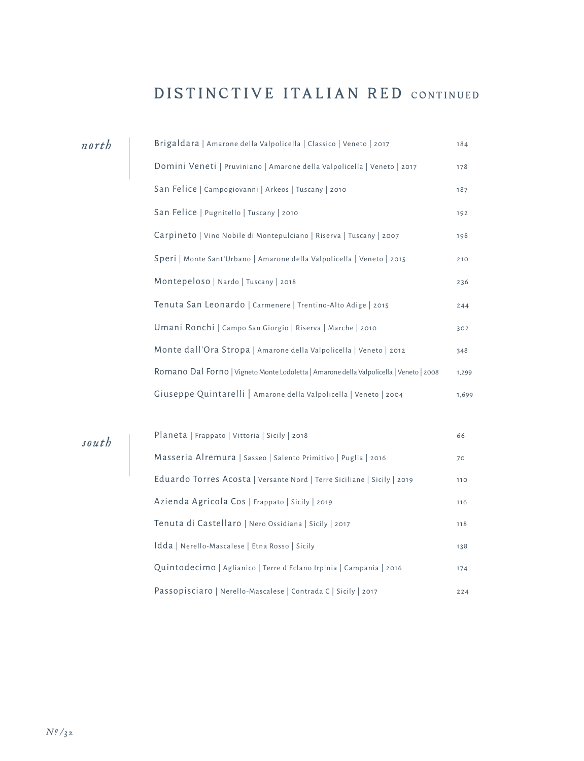#### DISTINCTIVE ITALIAN RED CONTINUED

|  | Brigaldara   Amarone della Valpolicella   Classico   Veneto   2017                      | 184   |
|--|-----------------------------------------------------------------------------------------|-------|
|  | Domini Veneti   Pruviniano   Amarone della Valpolicella   Veneto   2017                 | 178   |
|  | San Felice   Campogiovanni   Arkeos   Tuscany   2010                                    | 187   |
|  | San Felice   Pugnitello   Tuscany   2010                                                | 192   |
|  | Carpineto   Vino Nobile di Montepulciano   Riserva   Tuscany   2007                     | 198   |
|  | Speri   Monte Sant'Urbano   Amarone della Valpolicella   Veneto   2015                  | 210   |
|  | Montepeloso   Nardo   Tuscany   2018                                                    | 236   |
|  | Tenuta San Leonardo   Carmenere   Trentino-Alto Adige   2015                            | 244   |
|  | Umani Ronchi   Campo San Giorgio   Riserva   Marche   2010                              | 302   |
|  | Monte dall'Ora Stropa   Amarone della Valpolicella   Veneto   2012                      | 348   |
|  | Romano Dal Forno   Vigneto Monte Lodoletta   Amarone della Valpolicella   Veneto   2008 | 1,299 |
|  | Giuseppe Quintarelli   Amarone della Valpolicella   Veneto   2004                       | 1,699 |
|  |                                                                                         |       |
|  | Planeta   Frappato   Vittoria   Sicily   2018                                           | 66    |
|  | Masseria Alremura   Sasseo   Salento Primitivo   Puglia   2016                          | 70    |
|  |                                                                                         |       |

Eduardo Torres Acosta | Versante Nord | Terre Siciliane | Sicily | 2019 110 Azienda Agricola Cos | Frappato | Sicily | 2019 116 Tenuta di Castellaro | Nero Ossidiana | Sicily | 2017 118 Idda | Nerello-Mascalese | Etna Rosso | Sicily 138 Quintodecimo | Aglianico | Terre d'Eclano Irpinia | Campania | 2016 174 Passopisciaro | Nerello-Mascalese | Contrada C | Sicily | 2017 224

*north*

*south*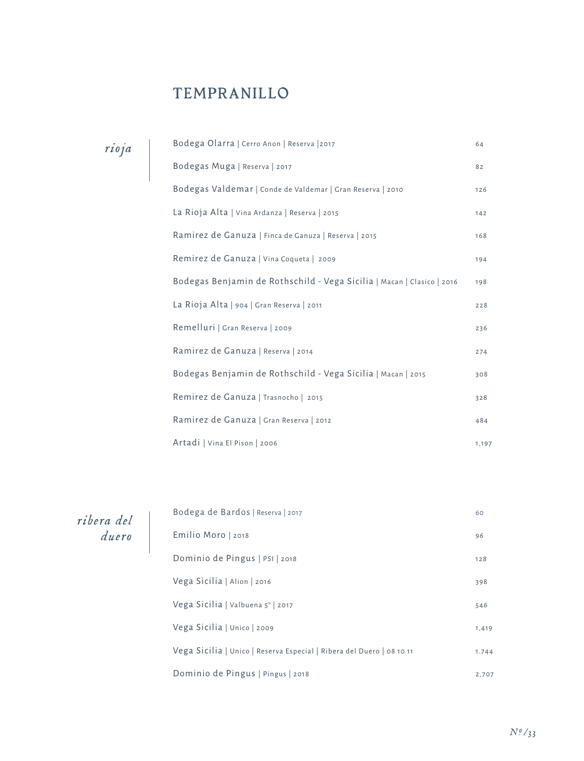## TEMPRANILLO

| rioja |  |
|-------|--|
|       |  |

| Bodega Olarra   Cerro Anon   Reserva   2017                            | 64    |
|------------------------------------------------------------------------|-------|
| Bodegas Muga   Reserva   2017                                          | 82    |
| Bodegas Valdemar   Conde de Valdemar   Gran Reserva   2010             | 126   |
| La Rioja Alta   Vina Ardanza   Reserva   2015                          | 142   |
| Ramirez de Ganuza   Finca de Ganuza   Reserva   2015                   | 168   |
| Remirez de Ganuza   Vina Coqueta   2009                                | 194   |
| Bodegas Benjamin de Rothschild - Vega Sicilia   Macan   Clasico   2016 | 198   |
| La Rioja Alta   904   Gran Reserva   2011                              | 228   |
| Remelluri   Gran Reserva   2009                                        | 236   |
| Ramirez de Ganuza   Reserva   2014                                     | 274   |
| Bodegas Benjamin de Rothschild - Vega Sicilia   Macan   2015           | 308   |
| Remirez de Ganuza   Trasnocho   2015                                   | 328   |
| Ramirez de Ganuza   Gran Reserva   2012                                | 484   |
| Artadi   Vina El Pison   2006                                          | 1,197 |

*ribera del duero*

| Bodega de Bardos   Reserva   2017                                     | 60    |
|-----------------------------------------------------------------------|-------|
| Emilio Moro   2018                                                    | 96    |
| Dominio de Pingus   PSI   2018                                        | 128   |
| Vega Sicilia   Alion   2016                                           | 398   |
| Vega Sicilia   Valbuena 5°   2017                                     | 546   |
| Vega Sicilia   Unico   2009                                           | 1,419 |
| Vega Sicilia   Unico   Reserva Especial   Ribera del Duero   08 10 11 | 1.744 |
| Dominio de Pingus   Pingus   2018                                     | 2,707 |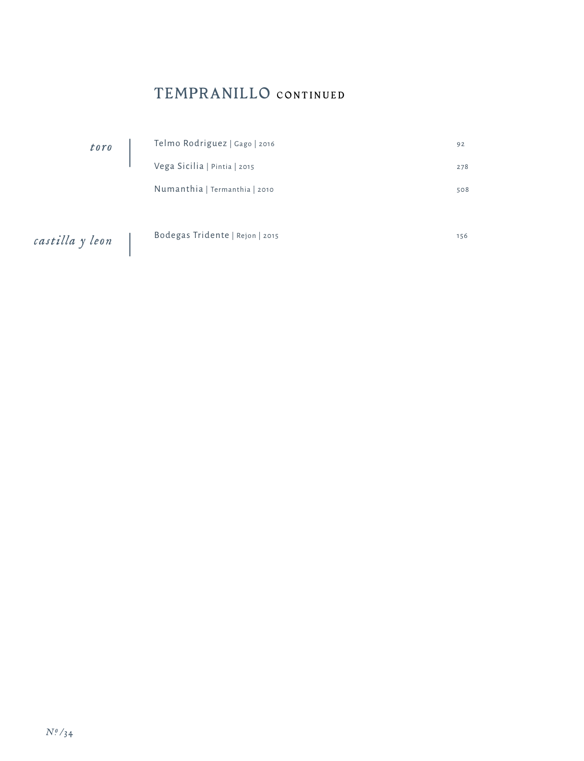## TEMPRANILLO CONTINUED

| toro            | Telmo Rodriguez   Gago   2016   | 92  |
|-----------------|---------------------------------|-----|
|                 | Vega Sicilia   Pintia   2015    | 278 |
|                 | Numanthia   Termanthia   2010   | 508 |
|                 |                                 |     |
| castilla y leon | Bodegas Tridente   Rejon   2015 | 156 |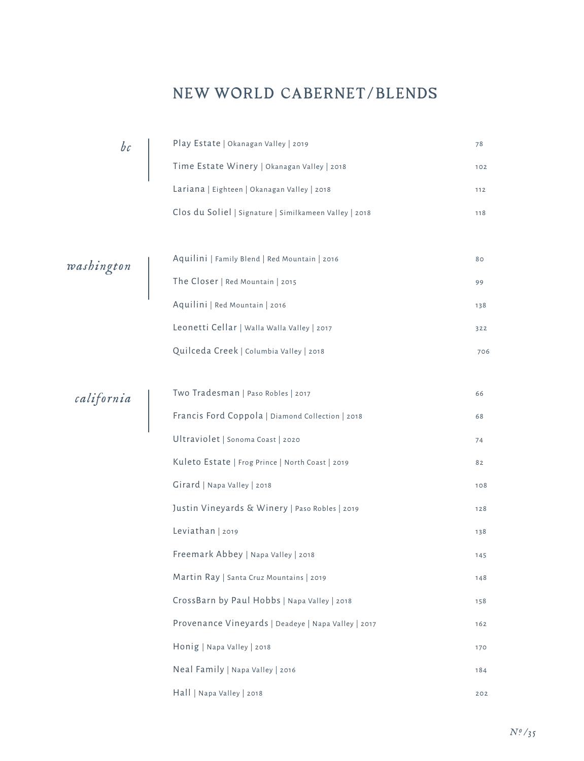#### NEW WORLD CABERNET/BLENDS

| bc                                                   |                                                                                     | 78  |
|------------------------------------------------------|-------------------------------------------------------------------------------------|-----|
|                                                      | Play Estate   Okanagan Valley   2019<br>Time Estate Winery   Okanagan Valley   2018 | 102 |
|                                                      | Lariana   Eighteen   Okanagan Valley   2018                                         | 112 |
|                                                      | Clos du Soliel   Signature   Similkameen Valley   2018                              | 118 |
|                                                      |                                                                                     |     |
|                                                      | Aquilini   Family Blend   Red Mountain   2016                                       | 80  |
| $\begin{array}{c} \textit{washington} \ \end{array}$ | The Closer   Red Mountain   2015                                                    | 99  |
|                                                      | Aquilini   Red Mountain   2016                                                      | 138 |
|                                                      | Leonetti Cellar   Walla Walla Valley   2017                                         | 322 |
|                                                      | Quilceda Creek   Columbia Valley   2018                                             | 706 |
|                                                      |                                                                                     |     |
|                                                      | Two Tradesman   Paso Robles   2017                                                  | 66  |
| california                                           | Francis Ford Coppola   Diamond Collection   2018                                    | 68  |
|                                                      | Ultraviolet   Sonoma Coast   2020                                                   | 74  |
|                                                      | Kuleto Estate   Frog Prince   North Coast   2019                                    | 82  |
|                                                      | Girard   Napa Valley   2018                                                         | 108 |
|                                                      | Justin Vineyards & Winery   Paso Robles   2019                                      | 128 |
|                                                      | Leviathan   2019                                                                    | 138 |
|                                                      | Freemark Abbey   Napa Valley   2018                                                 | 145 |
|                                                      | Martin Ray   Santa Cruz Mountains   2019                                            | 148 |
|                                                      | CrossBarn by Paul Hobbs   Napa Valley   2018                                        | 158 |
|                                                      | Provenance Vineyards   Deadeye   Napa Valley   2017                                 | 162 |
|                                                      | Honig   Napa Valley   2018                                                          | 170 |
|                                                      | Neal Family   Napa Valley   2016                                                    | 184 |
|                                                      | Hall   Napa Valley   2018                                                           | 202 |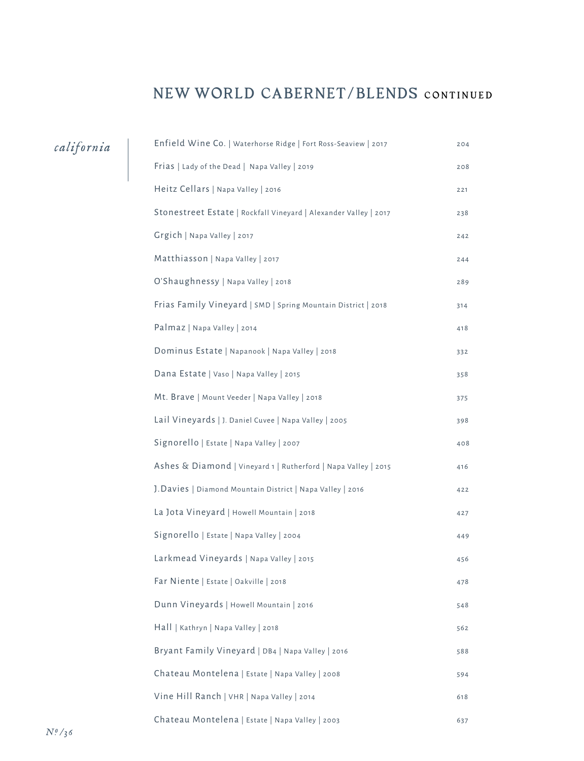#### NEW WORLD CABERNET/BLENDS CONTINUED

| california | Enfield Wine Co.   Waterhorse Ridge   Fort Ross-Seaview   2017   | 204 |
|------------|------------------------------------------------------------------|-----|
|            | Frias   Lady of the Dead   Napa Valley   2019                    | 208 |
|            | Heitz Cellars   Napa Valley   2016                               | 221 |
|            | Stonestreet Estate   Rockfall Vineyard   Alexander Valley   2017 | 238 |
|            | Grgich   Napa Valley   2017                                      | 242 |
|            | Matthiasson   Napa Valley   2017                                 | 244 |
|            | O'Shaughnessy   Napa Valley   2018                               | 289 |
|            | Frias Family Vineyard   SMD   Spring Mountain District   2018    | 314 |
|            | Palmaz   Napa Valley   2014                                      | 418 |
|            | Dominus Estate   Napanook   Napa Valley   2018                   | 332 |
|            | Dana Estate   Vaso   Napa Valley   2015                          | 358 |
|            | Mt. Brave   Mount Veeder   Napa Valley   2018                    | 375 |
|            | Lail Vineyards   J. Daniel Cuvee   Napa Valley   2005            | 398 |
|            | Signorello   Estate   Napa Valley   2007                         | 408 |
|            | Ashes & Diamond   Vineyard 1   Rutherford   Napa Valley   2015   | 416 |
|            | J. Davies   Diamond Mountain District   Napa Valley   2016       | 422 |
|            | La Jota Vineyard   Howell Mountain   2018                        | 427 |
|            | Signorello   Estate   Napa Valley   2004                         | 449 |
|            | Larkmead Vineyards   Napa Valley   2015                          | 456 |
|            | Far Niente   Estate   Oakville   2018                            | 478 |
|            | Dunn Vineyards   Howell Mountain   2016                          | 548 |
|            | Hall   Kathryn   Napa Valley   2018                              | 562 |
|            | Bryant Family Vineyard   DB4   Napa Valley   2016                | 588 |
|            | Chateau Montelena   Estate   Napa Valley   2008                  | 594 |
|            | Vine Hill Ranch   VHR   Napa Valley   2014                       | 618 |
|            | Chateau Montelena   Estate   Napa Valley   2003                  | 637 |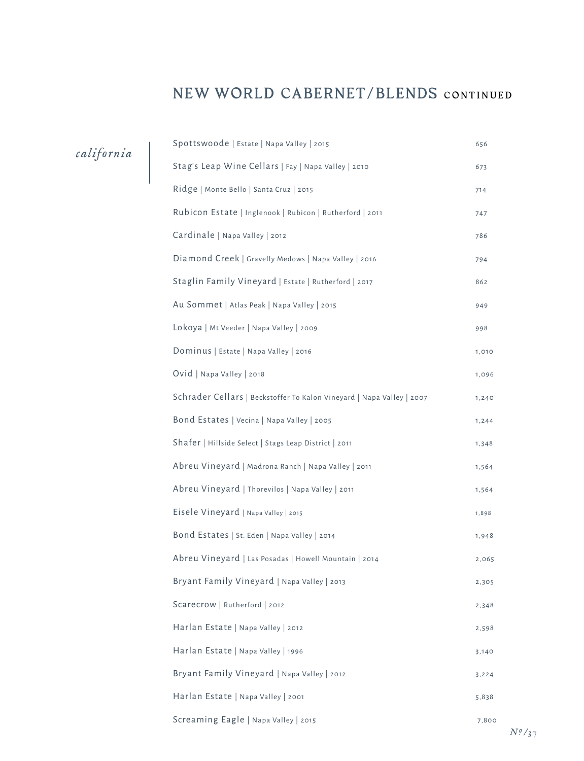#### NEW WORLD CABERNET/BLENDS CONTINUED

*california*

| Spottswoode   Estate   Napa Valley   2015                             | 656   |
|-----------------------------------------------------------------------|-------|
| Stag's Leap Wine Cellars   Fay   Napa Valley   2010                   | 673   |
| Ridge   Monte Bello   Santa Cruz   2015                               | 714   |
| Rubicon Estate   Inglenook   Rubicon   Rutherford   2011              | 747   |
| Cardinale   Napa Valley   2012                                        | 786   |
| Diamond Creek   Gravelly Medows   Napa Valley   2016                  | 794   |
| Staglin Family Vineyard   Estate   Rutherford   2017                  | 862   |
| Au Sommet   Atlas Peak   Napa Valley   2015                           | 949   |
| Lokoya   Mt Veeder   Napa Valley   2009                               | 998   |
| Dominus   Estate   Napa Valley   2016                                 | 1,010 |
| Ovid   Napa Valley   2018                                             | 1,096 |
| Schrader Cellars   Beckstoffer To Kalon Vineyard   Napa Valley   2007 | 1,240 |
| Bond Estates   Vecina   Napa Valley   2005                            | 1,244 |
| Shafer   Hillside Select   Stags Leap District   2011                 | 1,348 |
| Abreu Vineyard   Madrona Ranch   Napa Valley   2011                   | 1,564 |
| Abreu Vineyard   Thorevilos   Napa Valley   2011                      | 1,564 |
| Eisele Vineyard   Napa Valley   2015                                  | 1,898 |
| Bond Estates   St. Eden   Napa Valley   2014                          | 1,948 |
| Abreu Vineyard   Las Posadas   Howell Mountain   2014                 | 2,065 |
| Bryant Family Vineyard   Napa Valley   2013                           | 2,305 |
| Scarecrow   Rutherford   2012                                         | 2,348 |
| Harlan Estate   Napa Valley   2012                                    | 2,598 |
| Harlan Estate   Napa Valley   1996                                    | 3,140 |
| Bryant Family Vineyard   Napa Valley   2012                           | 3,224 |
| Harlan Estate   Napa Valley   2001                                    | 5,838 |
| Screaming Eagle   Napa Valley   2015                                  | 7,800 |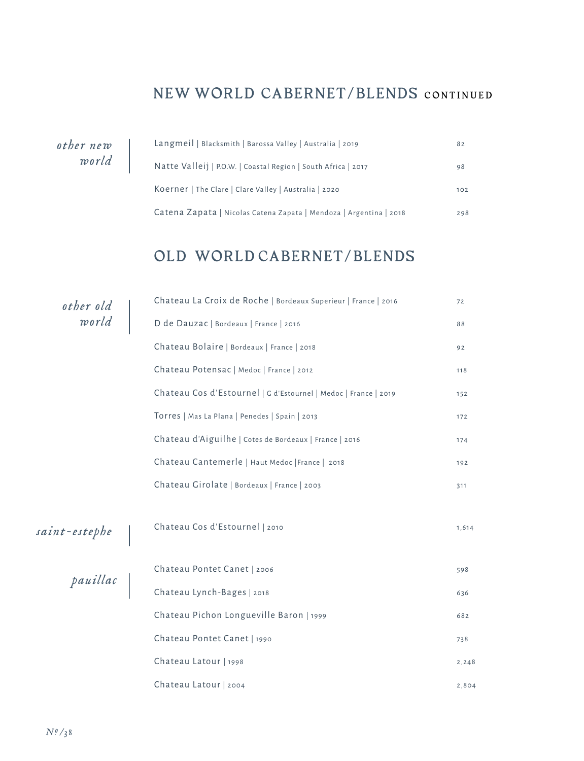#### NEW WORLD CABERNET/BLENDS CONTINUED

*other new world*

| Langmeil   Blacksmith   Barossa Valley   Australia   2019          | 82  |
|--------------------------------------------------------------------|-----|
| Natte Valleij   P.O.W.   Coastal Region   South Africa   2017      | 98  |
| Koerner   The Clare   Clare Valley   Australia   2020              | 102 |
| Catena Zapata   Nicolas Catena Zapata   Mendoza   Argentina   2018 | 298 |

#### OLD WORLD CABERNET/BLENDS

|                    | Chateau La Croix de Roche   Bordeaux Superieur   France   2016  | 72    |
|--------------------|-----------------------------------------------------------------|-------|
| other old<br>world | D de Dauzac   Bordeaux   France   2016                          | 88    |
|                    | Chateau Bolaire   Bordeaux   France   2018                      | 92    |
|                    | Chateau Potensac   Medoc   France   2012                        | 118   |
|                    | Chateau Cos d'Estournel   G d'Estournel   Medoc   France   2019 | 152   |
|                    | Torres   Mas La Plana   Penedes   Spain   2013                  | 172   |
|                    | Chateau d'Aiguilhe   Cotes de Bordeaux   France   2016          | 174   |
|                    | Chateau Cantemerle   Haut Medoc   France   2018                 | 192   |
|                    | Chateau Girolate   Bordeaux   France   2003                     | 311   |
| saint-estephe      | Chateau Cos d'Estournel   2010                                  | 1,614 |
|                    | Chateau Pontet Canet   2006                                     | 598   |
| pauillac           | Chateau Lynch-Bages   2018                                      | 636   |
|                    | Chateau Pichon Longueville Baron   1999                         | 682   |
|                    | Chateau Pontet Canet   1990                                     | 738   |
|                    | Chateau Latour   1998                                           | 2,248 |
|                    | Chateau Latour   2004                                           | 2,804 |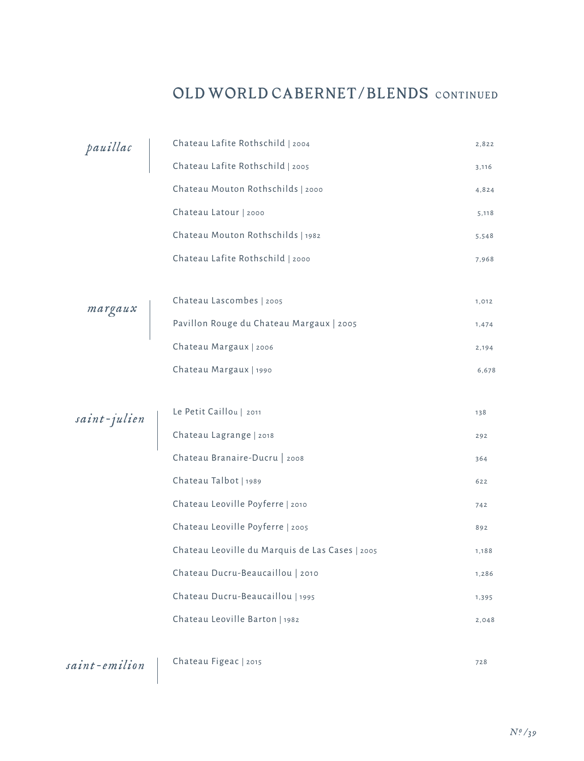## OLD WORLD CABERNET/BLENDS CONTINUED

| pauillac     | Chateau Lafite Rothschild   2004                | 2,822 |
|--------------|-------------------------------------------------|-------|
|              | Chateau Lafite Rothschild   2005                | 3,116 |
|              | Chateau Mouton Rothschilds   2000               | 4,824 |
|              | Chateau Latour   2000                           | 5,118 |
|              | Chateau Mouton Rothschilds   1982               | 5,548 |
|              | Chateau Lafite Rothschild   2000                | 7,968 |
|              |                                                 |       |
|              | Chateau Lascombes   2005                        | 1,012 |
| margaux      | Pavillon Rouge du Chateau Margaux   2005        | 1,474 |
|              | Chateau Margaux   2006                          | 2,194 |
|              | Chateau Margaux   1990                          | 6,678 |
|              |                                                 |       |
| saint-julien | Le Petit Caillou   2011                         | 138   |
|              | Chateau Lagrange   2018                         | 292   |
|              | Chateau Branaire-Ducru   2008                   | 364   |
|              | Chateau Talbot   1989                           | 622   |
|              | Chateau Leoville Poyferre   2010                | 742   |
|              | Chateau Leoville Poyferre   2005                | 892   |
|              | Chateau Leoville du Marquis de Las Cases   2005 | 1,188 |
|              | Chateau Ducru-Beaucaillou   2010                | 1,286 |
|              | Chateau Ducru-Beaucaillou   1995                | 1,395 |
|              | Chateau Leoville Barton   1982                  | 2,048 |
|              |                                                 |       |

*saint-emilion* Chateau Figeac | 2015 728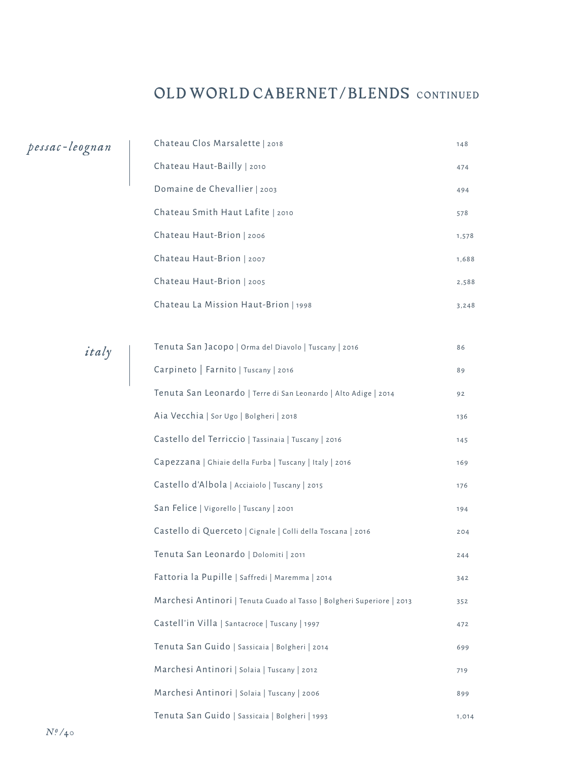### OLD WORLD CABERNET/BLENDS CONTINUED

| pessac-leognan | Chateau Clos Marsalette   2018                                        | 148   |
|----------------|-----------------------------------------------------------------------|-------|
|                | Chateau Haut-Bailly   2010                                            | 474   |
|                | Domaine de Chevallier   2003                                          | 494   |
|                | Chateau Smith Haut Lafite   2010                                      | 578   |
|                | Chateau Haut-Brion   2006                                             | 1,578 |
|                | Chateau Haut-Brion   2007                                             | 1,688 |
|                | Chateau Haut-Brion   2005                                             | 2,588 |
|                | Chateau La Mission Haut-Brion   1998                                  | 3,248 |
|                |                                                                       |       |
| italy          | Tenuta San Jacopo   Orma del Diavolo   Tuscany   2016                 | 86    |
|                | Carpineto   Farnito   Tuscany   2016                                  | 89    |
|                | Tenuta San Leonardo   Terre di San Leonardo   Alto Adige   2014       | 92    |
|                | Aia Vecchia   Sor Ugo   Bolgheri   2018                               | 136   |
|                | Castello del Terriccio   Tassinaia   Tuscany   2016                   | 145   |
|                | Capezzana   Ghiaie della Furba   Tuscany   Italy   2016               | 169   |
|                | Castello d'Albola   Acciaiolo   Tuscany   2015                        | 176   |
|                | San Felice   Vigorello   Tuscany   2001                               | 194   |
|                | Castello di Querceto   Cignale   Colli della Toscana   2016           | 204   |
|                | Tenuta San Leonardo   Dolomiti   2011                                 | 244   |
|                | Fattoria la Pupille   Saffredi   Maremma   2014                       | 342   |
|                | Marchesi Antinori   Tenuta Guado al Tasso   Bolgheri Superiore   2013 | 352   |
|                | Castell'in Villa   Santacroce   Tuscany   1997                        | 472   |
|                | Tenuta San Guido   Sassicaia   Bolgheri   2014                        | 699   |
|                | Marchesi Antinori   Solaia   Tuscany   2012                           | 719   |
|                | Marchesi Antinori   Solaia   Tuscany   2006                           | 899   |
|                | Tenuta San Guido   Sassicaia   Bolgheri   1993                        | 1,014 |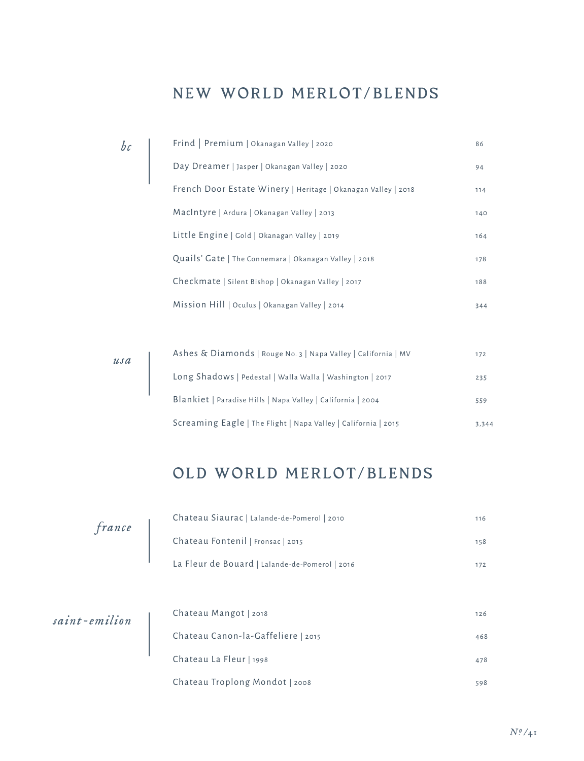#### NEW WORLD MERLOT/BLENDS

*bc*

| Frind   Premium   Okanagan Valley   2020                      | 86  |
|---------------------------------------------------------------|-----|
| Day Dreamer   Jasper   Okanagan Valley   2020                 | 94  |
| French Door Estate Winery   Heritage   Okanagan Valley   2018 | 114 |
| MacIntyre   Ardura   Okanagan Valley   2013                   | 140 |
| Little Engine   Gold   Okanagan Valley   2019                 | 164 |
| Quails' Gate   The Connemara   Okanagan Valley   2018         | 178 |
| Checkmate   Silent Bishop   Okanagan Valley   2017            | 188 |
| Mission Hill   Oculus   Okanagan Valley   2014                | 344 |

| usa | Ashes & Diamonds   Rouge No. 3   Napa Valley   California   MV | 172   |
|-----|----------------------------------------------------------------|-------|
|     | Long Shadows   Pedestal   Walla Walla   Washington   2017      | 235   |
|     | Blankiet   Paradise Hills   Napa Valley   California   2004    | 559   |
|     | Screaming Eagle   The Flight   Napa Valley   California   2015 | 3,344 |

## OLD WORLD MERLOT/BLENDS

| france        | Chateau Siaurac   Lalande-de-Pomerol   2010    | 116 |
|---------------|------------------------------------------------|-----|
|               | Chateau Fontenil   Fronsac   2015              | 158 |
|               | La Fleur de Bouard   Lalande-de-Pomerol   2016 | 172 |
|               |                                                |     |
| saint-emilion | Chateau Mangot   2018                          | 126 |
|               | Chateau Canon-la-Gaffeliere   2015             | 468 |
|               | Chateau La Fleur   1998                        | 478 |
|               | Chateau Troplong Mondot   2008                 | 598 |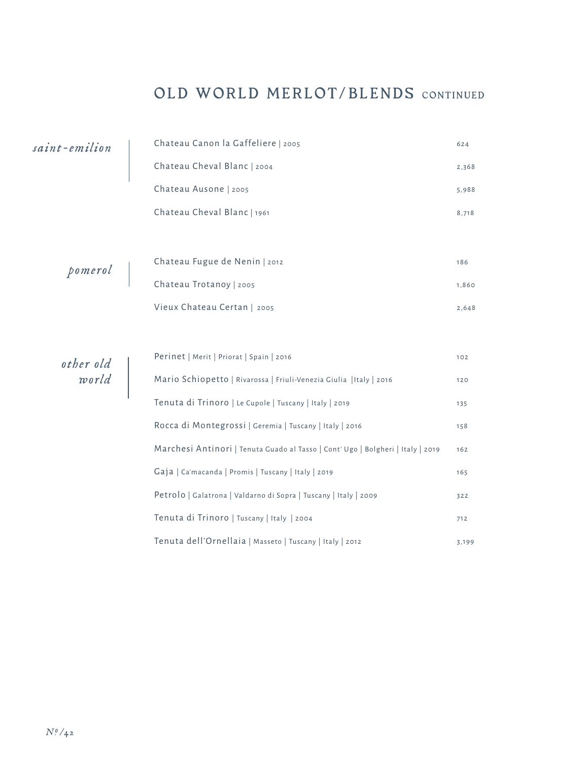## OLD WORLD MERLOT/BLENDS CONTINUED

Petrolo | Galatrona | Valdarno di Sopra | Tuscany | Italy | 2009 322

Tenuta di Trinoro | Tuscany | Italy | 2004 | Tenuta di Trinoro | Tuscany | Italy | 2004 | Trinoro | Trinoro | T

Tenuta dell'Ornellaia | Masseto | Tuscany | Italy | 2012 | Tenuta dell'Ornellaia | Masseto | Tuscany | Italy | 2012

| saint-emilion      | Chateau Canon la Gaffeliere   2005                                              | 624   |
|--------------------|---------------------------------------------------------------------------------|-------|
|                    | Chateau Cheval Blanc   2004                                                     | 2,368 |
|                    | Chateau Ausone   2005                                                           | 5,988 |
|                    | Chateau Cheval Blanc   1961                                                     | 8,718 |
|                    |                                                                                 |       |
|                    | Chateau Fugue de Nenin   2012                                                   | 186   |
| pomerol            | Chateau Trotanoy   2005                                                         | 1,860 |
|                    | Vieux Chateau Certan   2005                                                     | 2,648 |
|                    |                                                                                 |       |
|                    | Perinet   Merit   Priorat   Spain   2016                                        | 102   |
| other old<br>world | Mario Schiopetto   Rivarossa   Friuli-Venezia Giulia   Italy   2016             | 120   |
|                    | Tenuta di Trinoro   Le Cupole   Tuscany   Italy   2019                          | 135   |
|                    | Rocca di Montegrossi   Geremia   Tuscany   Italy   2016                         | 158   |
|                    | Marchesi Antinori   Tenuta Guado al Tasso   Cont' Ugo   Bolgheri   Italy   2019 | 162   |
|                    | Gaja   Ca'macanda   Promis   Tuscany   Italy   2019                             | 165   |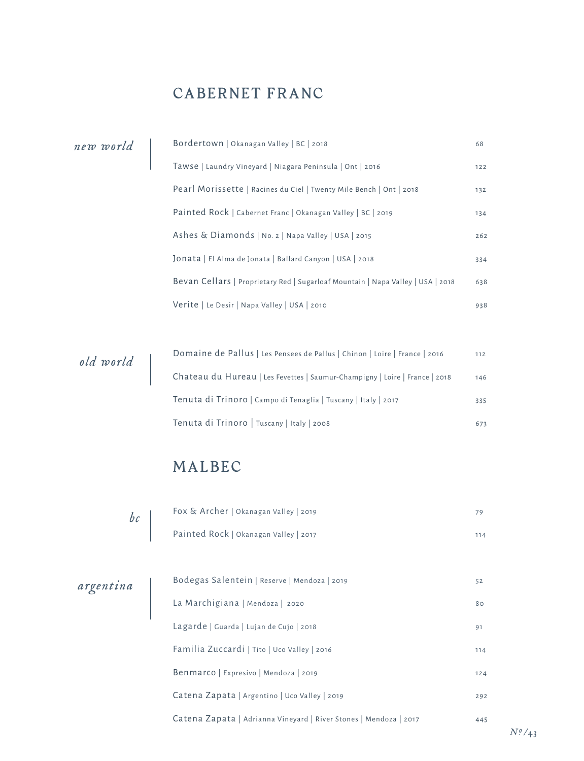## CABERNET FRANC

| new world | Bordertown   Okanagan Valley   BC   2018                                        | 68  |
|-----------|---------------------------------------------------------------------------------|-----|
|           | Tawse   Laundry Vineyard   Niagara Peninsula   Ont   2016                       | 122 |
|           | Pearl Morissette   Racines du Ciel   Twenty Mile Bench   Ont   2018             | 132 |
|           | Painted Rock   Cabernet Franc   Okanagan Valley   BC   2019                     | 134 |
|           | Ashes & Diamonds   No. 2   Napa Valley   USA   2015                             | 262 |
|           | Jonata   El Alma de Jonata   Ballard Canyon   USA   2018                        | 334 |
|           | Bevan Cellars   Proprietary Red   Sugarloaf Mountain   Napa Valley   USA   2018 | 638 |
|           | Verite   Le Desir   Napa Valley   USA   2010                                    | 938 |
|           |                                                                                 |     |

| old world | Domaine de Pallus   Les Pensees de Pallus   Chinon   Loire   France   2016  | 112 |
|-----------|-----------------------------------------------------------------------------|-----|
|           | Chateau du Hureau   Les Fevettes   Saumur-Champigny   Loire   France   2018 | 146 |
|           | Tenuta di Trinoro   Campo di Tenaglia   Tuscany   Italy   2017              | 335 |
|           | Tenuta di Trinoro   Tuscany   Italy   2008                                  | 673 |

## MALBEC

| bc | Fox & Archer   Okanagan Valley   2019 | 79. |
|----|---------------------------------------|-----|
|    | Painted Rock   Okanagan Valley   2017 | 114 |

| argentina | Bodegas Salentein   Reserve   Mendoza   2019                      | 52  |
|-----------|-------------------------------------------------------------------|-----|
|           | La Marchigiana   Mendoza   2020                                   | 80  |
|           | Lagarde   Guarda   Lujan de Cujo   2018                           | 91  |
|           | Familia Zuccardi   Tito   Uco Valley   2016                       | 114 |
|           | Benmarco   Expresivo   Mendoza   2019                             | 124 |
|           | Catena Zapata   Argentino   Uco Valley   2019                     | 292 |
|           | Catena Zapata   Adrianna Vineyard   River Stones   Mendoza   2017 | 445 |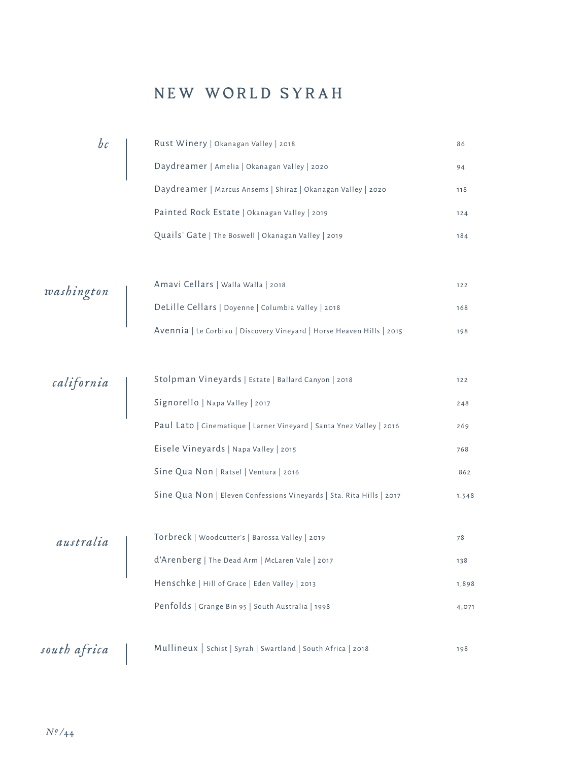## NEW WORLD SYRAH

| bc                                                       | Rust Winery   Okanagan Valley   2018                                  | 86    |
|----------------------------------------------------------|-----------------------------------------------------------------------|-------|
|                                                          | Daydreamer   Amelia   Okanagan Valley   2020                          | 94    |
|                                                          | Daydreamer   Marcus Ansems   Shiraz   Okanagan Valley   2020          | 118   |
|                                                          | Painted Rock Estate   Okanagan Valley   2019                          | 124   |
|                                                          | Quails' Gate   The Boswell   Okanagan Valley   2019                   | 184   |
|                                                          |                                                                       |       |
|                                                          | Amavi Cellars   Walla Walla   2018                                    | 122   |
| $\begin{bmatrix} { \it was} \ { \it this} \end{bmatrix}$ | DeLille Cellars   Doyenne   Columbia Valley   2018                    | 168   |
|                                                          | Avennia   Le Corbiau   Discovery Vineyard   Horse Heaven Hills   2015 | 198   |
|                                                          |                                                                       |       |
|                                                          | Stolpman Vineyards   Estate   Ballard Canyon   2018                   | 122   |
| california                                               | Signorello   Napa Valley   2017                                       | 248   |
|                                                          | Paul Lato   Cinematique   Larner Vineyard   Santa Ynez Valley   2016  | 269   |
|                                                          | Eisele Vineyards   Napa Valley   2015                                 | 768   |
|                                                          | Sine Qua Non   Ratsel   Ventura   2016                                | 862   |
|                                                          | Sine Qua Non   Eleven Confessions Vineyards   Sta. Rita Hills   2017  | 1.548 |
|                                                          |                                                                       |       |
| australia                                                | Torbreck   Woodcutter's   Barossa Valley   2019                       | 78    |
|                                                          | d'Arenberg   The Dead Arm   McLaren Vale   2017                       | 138   |
|                                                          | Henschke   Hill of Grace   Eden Valley   2013                         | 1,898 |
|                                                          | Penfolds   Grange Bin 95   South Australia   1998                     | 4,071 |
|                                                          |                                                                       |       |
| south africa                                             | Mullineux   Schist   Syrah   Swartland   South Africa   2018          | 198   |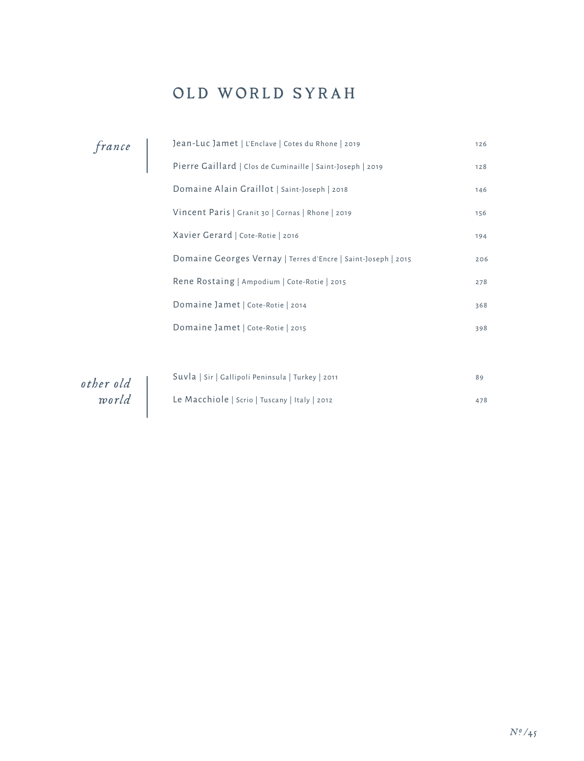## OLD WORLD SYRAH

| france             | Jean-Luc Jamet   L'Enclave   Cotes du Rhone   2019            | 126 |
|--------------------|---------------------------------------------------------------|-----|
|                    | Pierre Gaillard   Clos de Cuminaille   Saint-Joseph   2019    | 128 |
|                    | Domaine Alain Graillot   Saint-Joseph   2018                  | 146 |
|                    | Vincent Paris   Granit 30   Cornas   Rhone   2019             | 156 |
|                    | Xavier Gerard   Cote-Rotie   2016                             | 194 |
|                    | Domaine Georges Vernay   Terres d'Encre   Saint-Joseph   2015 | 206 |
|                    | Rene Rostaing   Ampodium   Cote-Rotie   2015                  | 278 |
|                    | Domaine Jamet   Cote-Rotie   2014                             | 368 |
|                    | Domaine Jamet   Cote-Rotie   2015                             | 398 |
|                    |                                                               |     |
|                    | Suvla   Sir   Gallipoli Peninsula   Turkey   2011             | 89  |
| other old<br>world | Le Macchiole   Scrio   Tuscany   Italy   2012                 | 478 |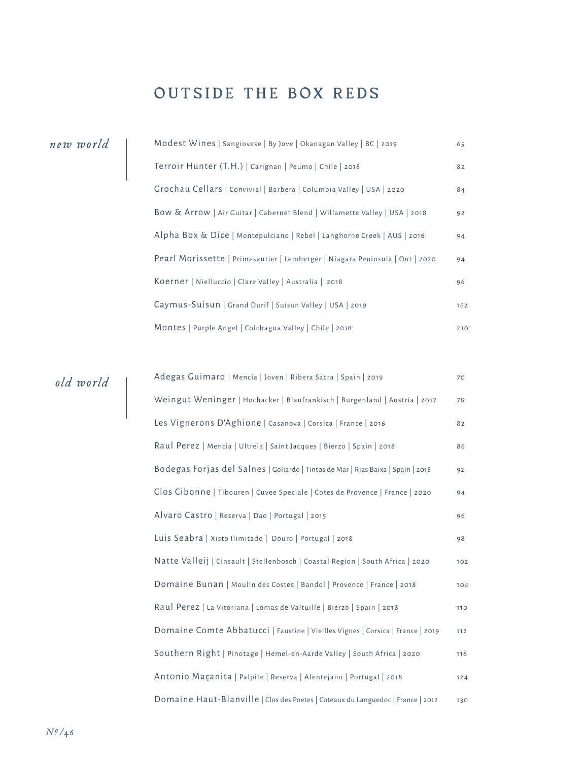## OUTSIDE THE BOX REDS

|  | new world |  |  |
|--|-----------|--|--|
|  |           |  |  |

| new world | Modest Wines   Sangiovese   By Jove   Okanagan Valley   BC   2019            | 65  |
|-----------|------------------------------------------------------------------------------|-----|
|           | Terroir Hunter (T.H.)   Carignan   Peumo   Chile   2018                      | 82  |
|           | Grochau Cellars   Convivial   Barbera   Columbia Valley   USA   2020         | 84  |
|           | Bow & Arrow   Air Guitar   Cabernet Blend   Willamette Valley   USA   2018   | 92  |
|           | Alpha Box & Dice   Montepulciano   Rebel   Langhorne Creek   AUS   2016      | 94  |
|           | Pearl Morissette   Primesautier   Lemberger   Niagara Peninsula   Ont   2020 | 94  |
|           | Koerner   Nielluccio   Clare Valley   Australia   2018                       | 96  |
|           | Caymus-Suisun   Grand Durif   Suisun Valley   USA   2019                     | 162 |
|           | Montes   Purple Angel   Colchagua Valley   Chile   2018                      | 210 |

| old world | Adegas Guimaro   Mencia   Joven   Ribera Sacra   Spain   2019                    | 70  |
|-----------|----------------------------------------------------------------------------------|-----|
|           | Weingut Weninger   Hochacker   Blaufrankisch   Burgenland   Austria   2017       | 78  |
|           | Les Vignerons D'Aghione   Casanova   Corsica   France   2016                     | 82  |
|           | Raul Perez   Mencia   Ultreia   Saint Jacques   Bierzo   Spain   2018            | 86  |
|           | Bodegas Forjas del Salnes   Goliardo   Tintos de Mar   Rias Baixa   Spain   2018 | 92  |
|           | Clos Cibonne   Tibouren   Cuvee Speciale   Cotes de Provence   France   2020     | 94  |
|           | Alvaro Castro   Reserva   Dao   Portugal   2015                                  | 96  |
|           | Luis Seabra   Xisto Ilimitado   Douro   Portugal   2018                          | 98  |
|           | Natte Valleij   Cinsault   Stellenbosch   Coastal Region   South Africa   2020   | 102 |
|           | Domaine Bunan   Moulin des Costes   Bandol   Provence   France   2018            | 104 |
|           | Raul Perez   La Vitoriana   Lomas de Valtuille   Bierzo   Spain   2018           | 110 |
|           | Domaine Comte Abbatucci   Faustine   Vieilles Vignes   Corsica   France   2019   | 112 |
|           | Southern Right   Pinotage   Hemel-en-Aarde Valley   South Africa   2020          | 116 |
|           | Antonio Maçanita   Palpite   Reserva   Alentejano   Portugal   2018              | 124 |
|           | Domaine Haut-Blanville   Clos des Poetes   Coteaux du Languedoc   France   2012  | 130 |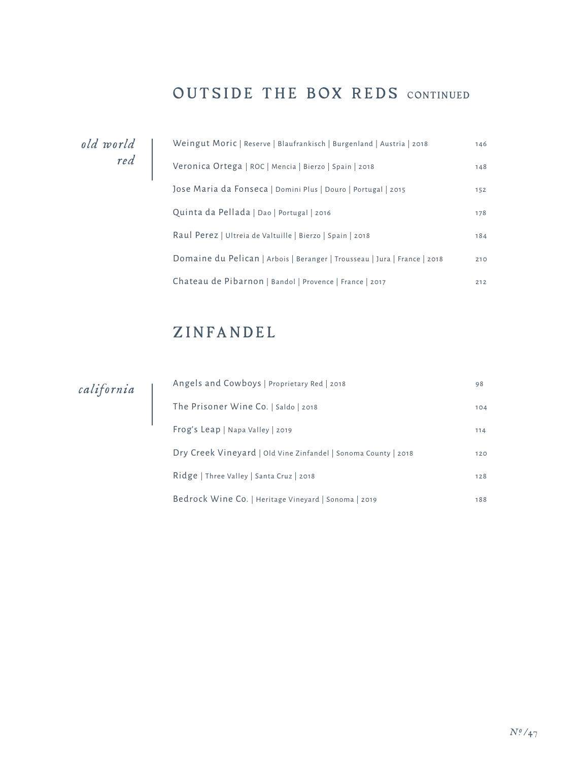## OUTSIDE THE BOX REDS CONTINUED

*old world red*

| Weingut Moric   Reserve   Blaufrankisch   Burgenland   Austria   2018     | 146 |
|---------------------------------------------------------------------------|-----|
| Veronica Ortega   ROC   Mencia   Bierzo   Spain   2018                    | 148 |
| Jose Maria da Fonseca   Domini Plus   Douro   Portugal   2015             | 152 |
| Quinta da Pellada   Dao   Portugal   2016                                 | 178 |
| Raul Perez   Ultreia de Valtuille   Bierzo   Spain   2018                 | 184 |
| Domaine du Pelican   Arbois   Beranger   Trousseau   Jura   France   2018 | 210 |
| Chateau de Pibarnon   Bandol   Provence   France   2017                   | 212 |

## ZINFANDEL

*california*

| Angels and Cowboys   Proprietary Red   2018                    | 98  |
|----------------------------------------------------------------|-----|
| The Prisoner Wine Co.   Saldo   2018                           | 104 |
| Frog's Leap   Napa Valley   2019                               | 114 |
| Dry Creek Vineyard   Old Vine Zinfandel   Sonoma County   2018 | 120 |
| Ridge   Three Valley   Santa Cruz   2018                       | 128 |
| Bedrock Wine Co.   Heritage Vineyard   Sonoma   2019           | 188 |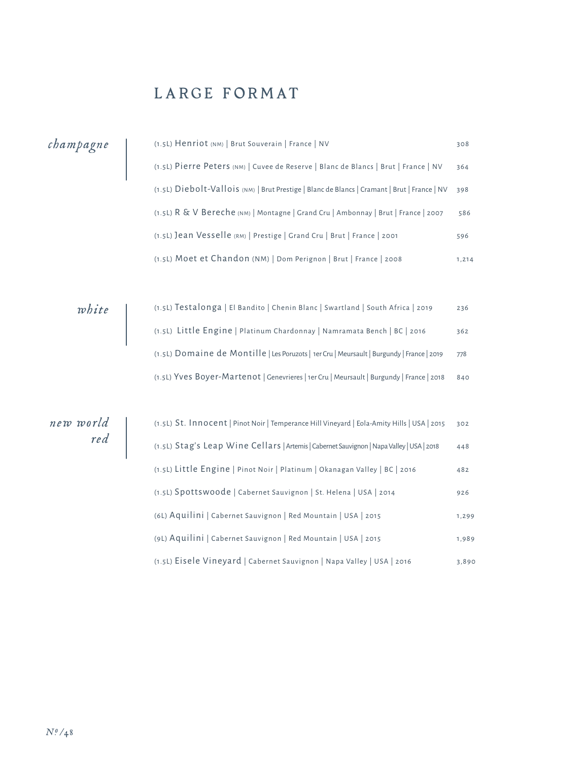## LARGE FORMAT

|                                                         | (1.5L) Henriot (NM)   Brut Souverain   France   NV                                           | 308   |
|---------------------------------------------------------|----------------------------------------------------------------------------------------------|-------|
| champagne                                               | (1.5L) Pierre Peters (NM)   Cuvee de Reserve   Blanc de Blancs   Brut   France   NV          | 364   |
|                                                         | (1.5L) Diebolt-Vallois (NM)   Brut Prestige   Blanc de Blancs   Cramant   Brut   France   NV | 398   |
|                                                         | (1.5L) R & V Bereche (NM)   Montagne   Grand Cru   Ambonnay   Brut   France   2007           | 586   |
|                                                         | (1.5L) Jean Vesselle (RM)   Prestige   Grand Cru   Brut   France   2001                      | 596   |
|                                                         | (1.5L) Moet et Chandon (NM)   Dom Perignon   Brut   France   2008                            | 1,214 |
|                                                         |                                                                                              |       |
| white                                                   | (1.5L) Testalonga   El Bandito   Chenin Blanc   Swartland   South Africa   2019              | 236   |
|                                                         | (1.5L) Little Engine   Platinum Chardonnay   Namramata Bench   BC   2016                     | 362   |
|                                                         | (1.5L) Domaine de Montille   Les Poruzots   1er Cru   Meursault   Burgundy   France   2019   | 778   |
|                                                         | (1.5L) Yves Boyer-Martenot   Genevrieres   1er Cru   Meursault   Burgundy   France   2018    | 840   |
|                                                         |                                                                                              |       |
| new world                                               | (1.5L) St. Innocent   Pinot Noir   Temperance Hill Vineyard   Eola-Amity Hills   USA   2015  | 302   |
| $\begin{array}{c} \text{red} \\ \text{red} \end{array}$ | (1.5L) Stag's Leap Wine Cellars   Artemis   Cabernet Sauvignon   Napa Valley   USA   2018    | 448   |
|                                                         | (1.5L) Little Engine   Pinot Noir   Platinum   Okanagan Valley   BC   2016                   | 482   |
|                                                         | (1.5L) Spottswoode   Cabernet Sauvignon   St. Helena   USA   2014                            | 926   |
|                                                         | (6L) Aquilini   Cabernet Sauvignon   Red Mountain   USA   2015                               | 1,299 |
|                                                         | (9L) Aquilini   Cabernet Sauvignon   Red Mountain   USA   2015                               | 1,989 |
|                                                         | (1.5L) Eisele Vineyard   Cabernet Sauvignon   Napa Valley   USA   2016                       | 3,890 |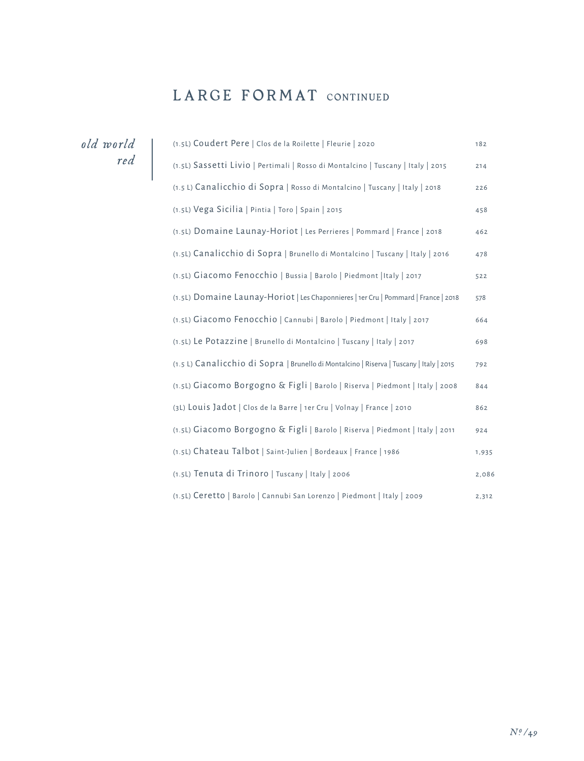### LARGE FORMAT CONTINUED

*old world red*

| (1.5L) Coudert Pere   Clos de la Roilette   Fleurie   2020                               | 182   |
|------------------------------------------------------------------------------------------|-------|
| (1.5L) Sassetti Livio   Pertimali   Rosso di Montalcino   Tuscany   Italy   2015         | 214   |
| (1.5 L) Canalicchio di Sopra   Rosso di Montalcino   Tuscany   Italy   2018              | 226   |
| (1.5L) Vega Sicilia   Pintia   Toro   Spain   2015                                       | 458   |
| (1.5L) Domaine Launay-Horiot   Les Perrieres   Pommard   France   2018                   | 462   |
| (1.5L) Canalicchio di Sopra   Brunello di Montalcino   Tuscany   Italy   2016            | 478   |
| (1.5L) Giacomo Fenocchio   Bussia   Barolo   Piedmont   Italy   2017                     | 522   |
| (1.5L) Domaine Launay-Horiot   Les Chaponnieres   1er Cru   Pommard   France   2018      | 578   |
| (1.5L) Giacomo Fenocchio   Cannubi   Barolo   Piedmont   Italy   2017                    | 664   |
| (1.5L) Le Potazzine   Brunello di Montalcino   Tuscany   Italy   2017                    | 698   |
| (1.5 L) Canalicchio di Sopra   Brunello di Montalcino   Riserva   Tuscany   Italy   2015 | 792   |
| (1.5L) Giacomo Borgogno & Figli   Barolo   Riserva   Piedmont   Italy   2008             | 844   |
| (3L) Louis Jadot   Clos de la Barre   1er Cru   Volnay   France   2010                   | 862   |
| (1.5L) Giacomo Borgogno & Figli   Barolo   Riserva   Piedmont   Italy   2011             | 924   |
| (1.5L) Chateau Talbot   Saint-Julien   Bordeaux   France   1986                          | 1,935 |
| (1.5L) Tenuta di Trinoro   Tuscany   Italy   2006                                        | 2,086 |
| (1.5L) Ceretto   Barolo   Cannubi San Lorenzo   Piedmont   Italy   2009                  | 2,312 |